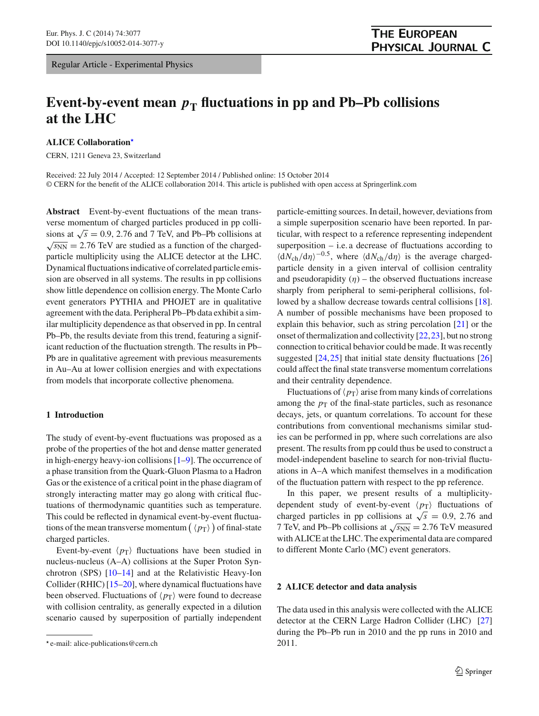Regular Article - Experimental Physics

# **Event-by-event mean**  $p_T$  **fluctuations in pp and Pb–Pb collisions at the LHC**

**ALICE Collaboration**[-](#page-0-0)

CERN, 1211 Geneva 23, Switzerland

Received: 22 July 2014 / Accepted: 12 September 2014 / Published online: 15 October 2014 © CERN for the benefit of the ALICE collaboration 2014. This article is published with open access at Springerlink.com

**Abstract** Event-by-event fluctuations of the mean transverse momentum of charged particles produced in pp collisions at  $\sqrt{s}$  = 0.9, 2.76 and 7 TeV, and Pb–Pb collisions at  $\sqrt{s_{NN}}$  = 2.76 TeV are studied as a function of the chargedparticle multiplicity using the ALICE detector at the LHC. Dynamical fluctuations indicative of correlated particle emission are observed in all systems. The results in pp collisions show little dependence on collision energy. The Monte Carlo event generators PYTHIA and PHOJET are in qualitative agreement with the data. Peripheral Pb–Pb data exhibit a similar multiplicity dependence as that observed in pp. In central Pb–Pb, the results deviate from this trend, featuring a significant reduction of the fluctuation strength. The results in Pb– Pb are in qualitative agreement with previous measurements in Au–Au at lower collision energies and with expectations from models that incorporate collective phenomena.

## **1 Introduction**

The study of event-by-event fluctuations was proposed as a probe of the properties of the hot and dense matter generated in high-energy heavy-ion collisions  $[1-9]$  $[1-9]$ . The occurrence of a phase transition from the Quark-Gluon Plasma to a Hadron Gas or the existence of a critical point in the phase diagram of strongly interacting matter may go along with critical fluctuations of thermodynamic quantities such as temperature. This could be reflected in dynamical event-by-event fluctuations of the mean transverse momentum  $(\langle p_T \rangle)$  of final-state charged particles.

Event-by-event  $\langle p_T \rangle$  fluctuations have been studied in nucleus-nucleus (A–A) collisions at the Super Proton Synchrotron (SPS) [\[10](#page-7-2)[–14](#page-8-0)] and at the Relativistic Heavy-Ion Collider (RHIC) [\[15](#page-8-1)[–20\]](#page-8-2), where dynamical fluctuations have been observed. Fluctuations of  $\langle p_T \rangle$  were found to decrease with collision centrality, as generally expected in a dilution scenario caused by superposition of partially independent

particle-emitting sources. In detail, however, deviations from a simple superposition scenario have been reported. In particular, with respect to a reference representing independent superposition – i.e. a decrease of fluctuations according to  $\langle dN_{ch}/d\eta \rangle$ <sup>-0.5</sup>, where  $\langle dN_{ch}/d\eta \rangle$  is the average chargedparticle density in a given interval of collision centrality and pseudorapidity  $(\eta)$  – the observed fluctuations increase sharply from peripheral to semi-peripheral collisions, followed by a shallow decrease towards central collisions [\[18](#page-8-3)]. A number of possible mechanisms have been proposed to explain this behavior, such as string percolation [\[21\]](#page-8-4) or the onset of thermalization and collectivity [\[22](#page-8-5)[,23](#page-8-6)], but no strong connection to critical behavior could be made. It was recently suggested  $[24,25]$  $[24,25]$  that initial state density fluctuations  $[26]$ could affect the final state transverse momentum correlations and their centrality dependence.

Fluctuations of  $\langle p_T \rangle$  arise from many kinds of correlations among the  $p<sub>T</sub>$  of the final-state particles, such as resonance decays, jets, or quantum correlations. To account for these contributions from conventional mechanisms similar studies can be performed in pp, where such correlations are also present. The results from pp could thus be used to construct a model-independent baseline to search for non-trivial fluctuations in A–A which manifest themselves in a modification of the fluctuation pattern with respect to the pp reference.

In this paper, we present results of a multiplicitydependent study of event-by-event  $\langle p_T \rangle$  fluctuations of charged particles in pp collisions at  $\sqrt{s}$  = 0.9, 2.76 and 7 TeV, and Pb–Pb collisions at  $\sqrt{s_{NN}}$  = 2.76 TeV measured with ALICE at the LHC. The experimental data are compared to different Monte Carlo (MC) event generators.

## **2 ALICE detector and data analysis**

The data used in this analysis were collected with the ALICE detector at the CERN Large Hadron Collider (LHC) [\[27\]](#page-8-10) during the Pb–Pb run in 2010 and the pp runs in 2010 and 2011.

<span id="page-0-0"></span><sup>-</sup> e-mail: alice-publications@cern.ch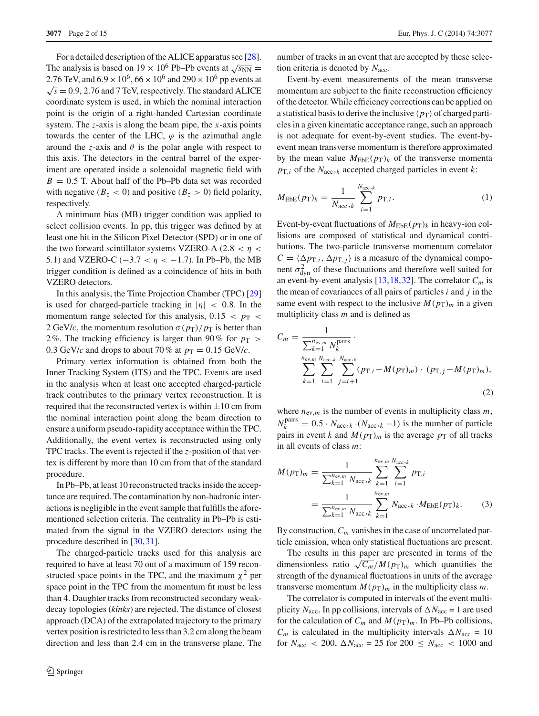For a detailed description of the ALICE apparatus see [\[28](#page-8-11)]. The analysis is based on 19 × 10<sup>6</sup> Pb–Pb events at  $\sqrt{s_{NN}}$  = 2.76 TeV, and  $6.9 \times 10^6$ ,  $66 \times 10^6$  and  $290 \times 10^6$  pp events at  $\sqrt{s}$  = 0.9, 2.76 and 7 TeV, respectively. The standard ALICE coordinate system is used, in which the nominal interaction point is the origin of a right-handed Cartesian coordinate system. The *z*-axis is along the beam pipe, the *x*-axis points towards the center of the LHC,  $\varphi$  is the azimuthal angle around the *z*-axis and  $\theta$  is the polar angle with respect to this axis. The detectors in the central barrel of the experiment are operated inside a solenoidal magnetic field with  $B = 0.5$  T. About half of the Pb–Pb data set was recorded with negative ( $B_z < 0$ ) and positive ( $B_z > 0$ ) field polarity, respectively.

A minimum bias (MB) trigger condition was applied to select collision events. In pp, this trigger was defined by at least one hit in the Silicon Pixel Detector (SPD) or in one of the two forward scintillator systems VZERO-A (2.8  $< \eta$  < 5.1) and VZERO-C ( $-3.7 < \eta < -1.7$ ). In Pb–Pb, the MB trigger condition is defined as a coincidence of hits in both VZERO detectors.

In this analysis, the Time Projection Chamber (TPC) [\[29\]](#page-8-12) is used for charged-particle tracking in  $|\eta| < 0.8$ . In the momentum range selected for this analysis,  $0.15 < p_T <$ 2 GeV/c, the momentum resolution  $\sigma(p_T)/p_T$  is better than 2%. The tracking efficiency is larger than 90% for  $p_T > 1$ 0.3 GeV/*c* and drops to about 70% at  $p_T = 0.15$  GeV/*c*.

Primary vertex information is obtained from both the Inner Tracking System (ITS) and the TPC. Events are used in the analysis when at least one accepted charged-particle track contributes to the primary vertex reconstruction. It is required that the reconstructed vertex is within  $\pm 10$  cm from the nominal interaction point along the beam direction to ensure a uniform pseudo-rapidity acceptance within the TPC. Additionally, the event vertex is reconstructed using only TPC tracks. The event is rejected if the *z*-position of that vertex is different by more than 10 cm from that of the standard procedure.

In Pb–Pb, at least 10 reconstructed tracks inside the acceptance are required. The contamination by non-hadronic interactions is negligible in the event sample that fulfills the aforementioned selection criteria. The centrality in Pb–Pb is estimated from the signal in the VZERO detectors using the procedure described in [\[30,](#page-8-13)[31\]](#page-8-14).

The charged-particle tracks used for this analysis are required to have at least 70 out of a maximum of 159 reconstructed space points in the TPC, and the maximum  $\chi^2$  per space point in the TPC from the momentum fit must be less than 4. Daughter tracks from reconstructed secondary weakdecay topologies (*kinks*) are rejected. The distance of closest approach (DCA) of the extrapolated trajectory to the primary vertex position is restricted to less than 3.2 cm along the beam direction and less than 2.4 cm in the transverse plane. The number of tracks in an event that are accepted by these selection criteria is denoted by  $N_{\text{acc}}$ .

Event-by-event measurements of the mean transverse momentum are subject to the finite reconstruction efficiency of the detector.While efficiency corrections can be applied on a statistical basis to derive the inclusive  $\langle p_T \rangle$  of charged particles in a given kinematic acceptance range, such an approach is not adequate for event-by-event studies. The event-byevent mean transverse momentum is therefore approximated by the mean value  $M_{\text{EbE}}(p_{\text{T}})$ <sub>k</sub> of the transverse momenta  $p_{\text{T},i}$  of the  $N_{\text{acc},k}$  accepted charged particles in event *k*:

$$
M_{\rm EbE}(p_{\rm T})_k = \frac{1}{N_{\rm acc,k}} \sum_{i=1}^{N_{\rm acc,k}} p_{\rm T,i}.
$$
 (1)

Event-by-event fluctuations of  $M_{EbE}(p_T)_k$  in heavy-ion collisions are composed of statistical and dynamical contributions. The two-particle transverse momentum correlator  $C = \langle \Delta p_{T,i}, \Delta p_{T,i} \rangle$  is a measure of the dynamical component  $\sigma_{dyn}^2$  of these fluctuations and therefore well suited for an event-by-event analysis  $[13,18,32]$  $[13,18,32]$  $[13,18,32]$  $[13,18,32]$ . The correlator  $C_m$  is the mean of covariances of all pairs of particles *i* and *j* in the same event with respect to the inclusive  $M(p_T)_m$  in a given multiplicity class *m* and is defined as

<span id="page-1-0"></span>
$$
C_m = \frac{1}{\sum_{k=1}^{n_{\text{ev},m}} N_k^{\text{pairs}}}
$$
  

$$
\sum_{k=1}^{n_{\text{ev},m}} \sum_{j=i+1}^{N_{\text{acc},k}} \sum_{j=i+1}^{N_{\text{acc},k}} (p_{\text{T},i} - M(p_{\text{T}})_{m}) \cdot (p_{\text{T},j} - M(p_{\text{T}})_{m}),
$$
  
(2)

where  $n_{ev,m}$  is the number of events in multiplicity class  $m$ ,  $N_k^{\text{pairs}} = 0.5 \cdot N_{\text{acc},k} \cdot (N_{\text{acc},k} - 1)$  is the number of particle pairs in event *k* and  $M(p_T)$ <sub>*m*</sub> is the average  $p_T$  of all tracks in all events of class *m*:

$$
M(p_{\text{T}})_{m} = \frac{1}{\sum_{k=1}^{n_{\text{ev},m}} N_{\text{acc},k}} \sum_{k=1}^{n_{\text{ev},m}} \sum_{i=1}^{N_{\text{acc},k}} p_{\text{T},i}
$$

$$
= \frac{1}{\sum_{k=1}^{n_{\text{ev},m}} N_{\text{acc},k}} \sum_{k=1}^{n_{\text{ev},m}} N_{\text{acc},k} \cdot M_{\text{EbE}}(p_{\text{T}})_{k}.
$$
(3)

By construction,  $C_m$  vanishes in the case of uncorrelated particle emission, when only statistical fluctuations are present.

The results in this paper are presented in terms of the dimensionless ratio  $\sqrt{C_m/M(p_T)_m}$  which quantifies the strength of the dynamical fluctuations in units of the average transverse momentum  $M(p_T)$ <sub>*m*</sub> in the multiplicity class *m*.

The correlator is computed in intervals of the event multiplicity  $N_{\text{acc}}$ . In pp collisions, intervals of  $\Delta N_{\text{acc}} = 1$  are used for the calculation of  $C_m$  and  $M(p_T)_m$ . In Pb–Pb collisions,  $C_m$  is calculated in the multiplicity intervals  $\Delta N_{\text{acc}} = 10$ for  $N_{\text{acc}}$  < 200,  $\Delta N_{\text{acc}}$  = 25 for 200  $\leq N_{\text{acc}}$  < 1000 and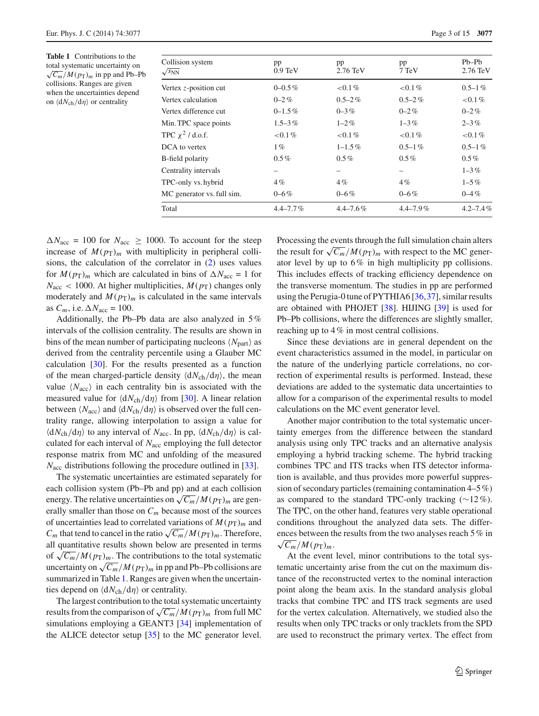<span id="page-2-0"></span>**Table 1** Contributions to the total systematic uncertainty on  $\sqrt{C_m}/M(p_T)_m$  in pp and Pb–Pb collisions. Ranges are given when the uncertainties depend on  $\langle dN_{ch}/d\eta \rangle$  or centrality

| Collision system<br>$\sqrt{s_{NN}}$ | pp<br>$0.9 \text{ TeV}$ | pp<br>$2.76 \text{ TeV}$ | pp<br>7 TeV   | $Pb-Pb$<br>$2.76 \text{ TeV}$ |
|-------------------------------------|-------------------------|--------------------------|---------------|-------------------------------|
| Vertex $z$ -position cut            | $0 - 0.5\%$             | $< 0.1\%$                | $< 0.1\%$     | $0.5 - 1\%$                   |
| Vertex calculation                  | $0 - 2\%$               | $0.5 - 2\%$              | $0.5 - 2\%$   | ${<}0.1\%$                    |
| Vertex difference cut               | $0 - 1.5\%$             | $0 - 3\%$                | $0 - 2\%$     | $0 - 2\%$                     |
| Min. TPC space points               | $1.5 - 3\%$             | $1 - 2\%$                | $1 - 3\%$     | $2 - 3\%$                     |
| TPC $\chi^2$ / d.o.f.               | ${<}0.1\%$              | $< 0.1\%$                | ${<}0.1\%$    | $< 0.1\%$                     |
| DCA to vertex                       | $1\%$                   | $1 - 1.5\%$              | $0.5 - 1\%$   | $0.5 - 1\%$                   |
| B-field polarity                    | $0.5\%$                 | $0.5\%$                  | $0.5\%$       | $0.5\%$                       |
| Centrality intervals                | -                       |                          |               | $1 - 3\%$                     |
| TPC-only vs. hybrid                 | $4\%$                   | $4\%$                    | $4\%$         | $1 - 5\%$                     |
| MC generator vs. full sim.          | $0 - 6\%$               | $0 - 6\%$                | $0 - 6\%$     | $0 - 4\%$                     |
| Total                               | $4.4 - 7.7\%$           | $4.4 - 7.6\%$            | $4.4 - 7.9\%$ | $4.2 - 7.4\%$                 |

 $\Delta N_{\text{acc}} = 100$  for  $N_{\text{acc}} \ge 1000$ . To account for the steep increase of  $M(p_T)$ <sub>*m*</sub> with multiplicity in peripheral collisions, the calculation of the correlator in [\(2\)](#page-1-0) uses values for  $M(p_T)_m$  which are calculated in bins of  $\Delta N_{\text{acc}} = 1$  for  $N_{\text{acc}}$  < 1000. At higher multiplicities,  $M(p_T)$  changes only moderately and  $M(p_T)$ <sub>*m*</sub> is calculated in the same intervals as  $C_m$ , i.e.  $\Delta N_{\text{acc}} = 100$ .

Additionally, the Pb–Pb data are also analyzed in 5% intervals of the collision centrality. The results are shown in bins of the mean number of participating nucleons  $\langle N_{\text{part}} \rangle$  as derived from the centrality percentile using a Glauber MC calculation [\[30\]](#page-8-13). For the results presented as a function of the mean charged-particle density  $\langle dN_{ch}/d\eta \rangle$ , the mean value  $\langle N_{\text{acc}} \rangle$  in each centrality bin is associated with the measured value for  $\langle dN_{ch}/d\eta \rangle$  from [\[30\]](#page-8-13). A linear relation between  $\langle N_{\text{acc}} \rangle$  and  $\langle dN_{\text{ch}}/d\eta \rangle$  is observed over the full centrality range, allowing interpolation to assign a value for  $\langle dN_{ch}/d\eta \rangle$  to any interval of  $N_{acc}$ . In pp,  $\langle dN_{ch}/d\eta \rangle$  is calculated for each interval of *N*acc employing the full detector response matrix from MC and unfolding of the measured *N*<sub>acc</sub> distributions following the procedure outlined in [\[33](#page-8-16)].

The systematic uncertainties are estimated separately for each collision system (Pb–Pb and pp) and at each collision energy. The relative uncertainties on  $\sqrt{C_m}/M(p_T)_m$  are generally smaller than those on  $C_m$  because most of the sources of uncertainties lead to correlated variations of  $M(p_T)_m$  and  $C_m$  that tend to cancel in the ratio  $\sqrt{C_m}/M(p_T)_m$ . Therefore, all quantitative results shown below are presented in terms of  $\sqrt{C_m}/M(p_T)_m$ . The contributions to the total systematic uncertainty on  $\sqrt{C_m}/M(p_T)_m$  in pp and Pb–Pb collisions are summarized in Table [1.](#page-2-0) Ranges are given when the uncertainties depend on  $\langle dN_{ch}/d\eta \rangle$  or centrality.

The largest contribution to the total systematic uncertainty results from the comparison of  $\sqrt{C_m}/M(p_T)_m$  from full MC simulations employing a GEANT3 [\[34\]](#page-8-17) implementation of the ALICE detector setup [\[35](#page-8-18)] to the MC generator level.

Processing the events through the full simulation chain alters the result for  $\sqrt{C_m}/M(p_T)_m$  with respect to the MC generator level by up to 6% in high multiplicity pp collisions. This includes effects of tracking efficiency dependence on the transverse momentum. The studies in pp are performed using the Perugia-0 tune of PYTHIA6 [\[36](#page-8-19),[37\]](#page-8-20), similar results are obtained with PHOJET [\[38\]](#page-8-21). HIJING [\[39](#page-8-22)] is used for Pb–Pb collisions, where the differences are slightly smaller, reaching up to 4% in most central collisions.

Since these deviations are in general dependent on the event characteristics assumed in the model, in particular on the nature of the underlying particle correlations, no correction of experimental results is performed. Instead, these deviations are added to the systematic data uncertainties to allow for a comparison of the experimental results to model calculations on the MC event generator level.

Another major contribution to the total systematic uncertainty emerges from the difference between the standard analysis using only TPC tracks and an alternative analysis employing a hybrid tracking scheme. The hybrid tracking combines TPC and ITS tracks when ITS detector information is available, and thus provides more powerful suppression of secondary particles (remaining contamination 4–5%) as compared to the standard TPC-only tracking (∼12%). The TPC, on the other hand, features very stable operational conditions throughout the analyzed data sets. The differences between the results from the two analyses reach 5% in  $\sqrt{C_m/M(p_T)}_m$ .

At the event level, minor contributions to the total systematic uncertainty arise from the cut on the maximum distance of the reconstructed vertex to the nominal interaction point along the beam axis. In the standard analysis global tracks that combine TPC and ITS track segments are used for the vertex calculation. Alternatively, we studied also the results when only TPC tracks or only tracklets from the SPD are used to reconstruct the primary vertex. The effect from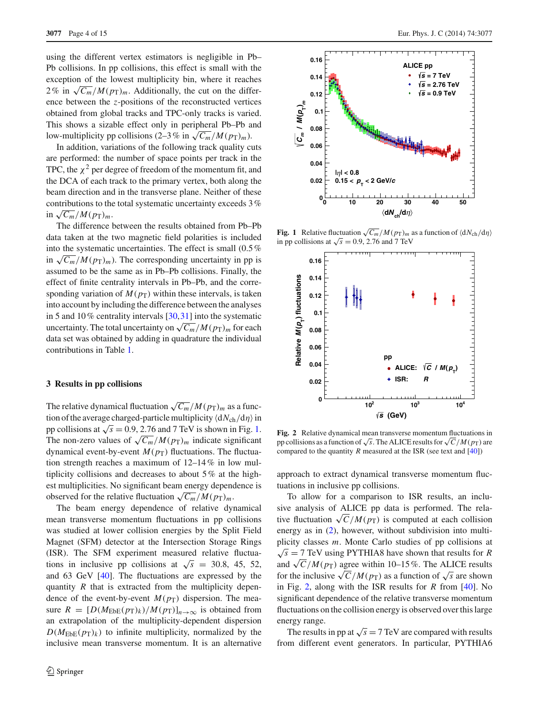using the different vertex estimators is negligible in Pb– Pb collisions. In pp collisions, this effect is small with the exception of the lowest multiplicity bin, where it reaches 2% in  $\sqrt{C_m}/M(p_T)_m$ . Additionally, the cut on the difference between the *z*-positions of the reconstructed vertices obtained from global tracks and TPC-only tracks is varied. This shows a sizable effect only in peripheral Pb–Pb and low-multiplicity pp collisions (2–3% in  $\sqrt{C_m}/M(p_T)_m$ ).

In addition, variations of the following track quality cuts are performed: the number of space points per track in the TPC, the  $\chi^2$  per degree of freedom of the momentum fit, and the DCA of each track to the primary vertex, both along the beam direction and in the transverse plane. Neither of these contributions to the total systematic uncertainty exceeds 3% in  $\sqrt{C_m}/M(p_T)_m$ .

The difference between the results obtained from Pb–Pb data taken at the two magnetic field polarities is included into the systematic uncertainties. The effect is small (0.5% in  $\sqrt{C_m}/M(p_T)_m$ ). The corresponding uncertainty in pp is assumed to be the same as in Pb–Pb collisions. Finally, the effect of finite centrality intervals in Pb–Pb, and the corresponding variation of  $M(p_T)$  within these intervals, is taken into account by including the difference between the analyses in 5 and 10% centrality intervals [\[30](#page-8-13)[,31](#page-8-14)] into the systematic uncertainty. The total uncertainty on  $\sqrt{C_m}/M(p_T)_m$  for each data set was obtained by adding in quadrature the individual contributions in Table [1.](#page-2-0)

### **3 Results in pp collisions**

The relative dynamical fluctuation  $\sqrt{C_m}/M(p_T)_m$  as a function of the average charged-particle multiplicity  $\langle dN_{ch}/d\eta \rangle$  in pp collisions at  $\sqrt{s}$  = 0.9, 2.76 and 7 TeV is shown in Fig. [1.](#page-3-0) The non-zero values of  $\sqrt{C_m}/M(p_T)_m$  indicate significant dynamical event-by-event  $M(p_T)$  fluctuations. The fluctuation strength reaches a maximum of 12–14% in low multiplicity collisions and decreases to about 5% at the highest multiplicities. No significant beam energy dependence is observed for the relative fluctuation  $\sqrt{C_m}/M(p_T)_m$ .

The beam energy dependence of relative dynamical mean transverse momentum fluctuations in pp collisions was studied at lower collision energies by the Split Field Magnet (SFM) detector at the Intersection Storage Rings (ISR). The SFM experiment measured relative fluctuations in inclusive pp collisions at  $\sqrt{s}$  = 30.8, 45, 52, and 63 GeV [\[40\]](#page-8-23). The fluctuations are expressed by the quantity *R* that is extracted from the multiplicity dependence of the event-by-event  $M(p_T)$  dispersion. The measure  $R = [D(M_{EbE}(p_T)_k)/M(p_T)]_{n\to\infty}$  is obtained from an extrapolation of the multiplicity-dependent dispersion  $D(M_{\text{EbE}}(p_{\text{T}})_{k})$  to infinite multiplicity, normalized by the inclusive mean transverse momentum. It is an alternative



**Fig. 1** Relative fluctuation  $\sqrt{C_m}/M(p_T)_m$  as a function of  $\langle dN_{ch}/d\eta \rangle$ in pp collisions at  $\sqrt{s} = 0.9$ , 2.76 and 7 TeV

<span id="page-3-0"></span>

<span id="page-3-1"></span>**Fig. 2** Relative dynamical mean transverse momentum fluctuations in pp collisions as a function of  $\sqrt{s}$ . The ALICE results for  $\sqrt{C}/M(p_T)$  are compared to the quantity *R* measured at the ISR (see text and [\[40\]](#page-8-23))

approach to extract dynamical transverse momentum fluctuations in inclusive pp collisions.

To allow for a comparison to ISR results, an inclusive analysis of ALICE pp data is performed. The relative fluctuation  $\sqrt{C}/M(p_T)$  is computed at each collision energy as in [\(2\)](#page-1-0), however, without subdivision into multiplicity classes *m*. Monte Carlo studies of pp collisions at  $\sqrt{s}$  = 7 TeV using PYTHIA8 have shown that results for *R* and  $\sqrt{C/M(p_T)}$  agree within 10–15%. The ALICE results for the inclusive  $\sqrt{C}/M(p_T)$  as a function of  $\sqrt{s}$  are shown in Fig. [2,](#page-3-1) along with the ISR results for *R* from [\[40\]](#page-8-23). No significant dependence of the relative transverse momentum fluctuations on the collision energy is observed over this large energy range.

The results in pp at  $\sqrt{s}$  = 7 TeV are compared with results from different event generators. In particular, PYTHIA6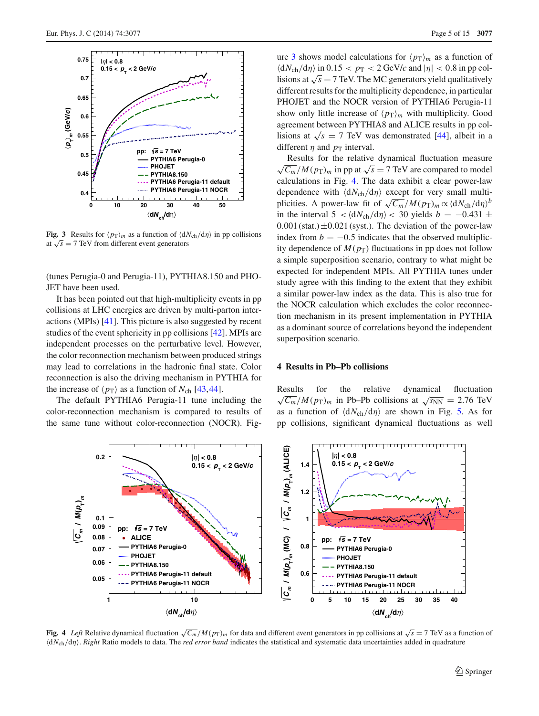

<span id="page-4-0"></span>**Fig. 3** Results for  $\langle p_T \rangle_m$  as a function of  $\langle dN_{ch}/d\eta \rangle$  in pp collisions at  $\sqrt{s}$  = 7 TeV from different event generators

(tunes Perugia-0 and Perugia-11), PYTHIA8.150 and PHO-JET have been used.

It has been pointed out that high-multiplicity events in pp collisions at LHC energies are driven by multi-parton interactions (MPIs) [\[41](#page-8-24)]. This picture is also suggested by recent studies of the event sphericity in pp collisions [\[42](#page-8-25)]. MPIs are independent processes on the perturbative level. However, the color reconnection mechanism between produced strings may lead to correlations in the hadronic final state. Color reconnection is also the driving mechanism in PYTHIA for the increase of  $\langle p_{\rm T} \rangle$  as a function of *N*<sub>ch</sub> [\[43](#page-8-26)[,44](#page-8-27)].

The default PYTHIA6 Perugia-11 tune including the color-reconnection mechanism is compared to results of the same tune without color-reconnection (NOCR). Fig-

ure [3](#page-4-0) shows model calculations for  $\langle p_T \rangle_m$  as a function of  $\langle dN_{ch}/d\eta \rangle$  in  $0.15 < p_T < 2$  GeV/*c* and  $|\eta| < 0.8$  in pp collisions at  $\sqrt{s}$  = 7 TeV. The MC generators yield qualitatively different results for the multiplicity dependence, in particular PHOJET and the NOCR version of PYTHIA6 Perugia-11 show only little increase of  $\langle p_T \rangle_m$  with multiplicity. Good agreement between PYTHIA8 and ALICE results in pp collisions at  $\sqrt{s}$  = 7 TeV was demonstrated [\[44](#page-8-27)], albeit in a different  $\eta$  and  $p_T$  interval.

Results for the relative dynamical fluctuation measure  $\sqrt{C_m}/M(p_T)_m$  in pp at  $\sqrt{s} = 7$  TeV are compared to model calculations in Fig. [4.](#page-4-1) The data exhibit a clear power-law dependence with  $\langle dN_{ch}/d\eta \rangle$  except for very small multiplicities. A power-law fit of  $\sqrt{C_m}/M(p_T)_m \propto \langle dN_{ch}/d\eta \rangle^b$ in the interval 5 < $\langle dN_{ch}/d\eta \rangle$  < 30 yields *b* = −0.431 ±  $0.001$  (stat.)  $\pm 0.021$  (syst.). The deviation of the power-law index from  $b = -0.5$  indicates that the observed multiplicity dependence of  $M(p_T)$  fluctuations in pp does not follow a simple superposition scenario, contrary to what might be expected for independent MPIs. All PYTHIA tunes under study agree with this finding to the extent that they exhibit a similar power-law index as the data. This is also true for the NOCR calculation which excludes the color reconnection mechanism in its present implementation in PYTHIA as a dominant source of correlations beyond the independent superposition scenario.

#### **4 Results in Pb–Pb collisions**

Results for the relative dynamical fluctuation  $\sqrt{C_m}/M(p_T)_m$  in Pb–Pb collisions at  $\sqrt{s_{NN}} = 2.76$  TeV as a function of  $\langle dN_{ch}/d\eta \rangle$  are shown in Fig. [5.](#page-5-0) As for pp collisions, significant dynamical fluctuations as well



<span id="page-4-1"></span>**Fig. 4** *Left* Relative dynamical fluctuation  $\sqrt{C_m}/M(p_T)_m$  for data and different event generators in pp collisions at  $\sqrt{s} = 7$  TeV as a function of  $\langle dN_{ch}/d\eta \rangle$ . *Right* Ratio models to data. The *red error band* indicates the statistical and systematic data uncertainties added in quadrature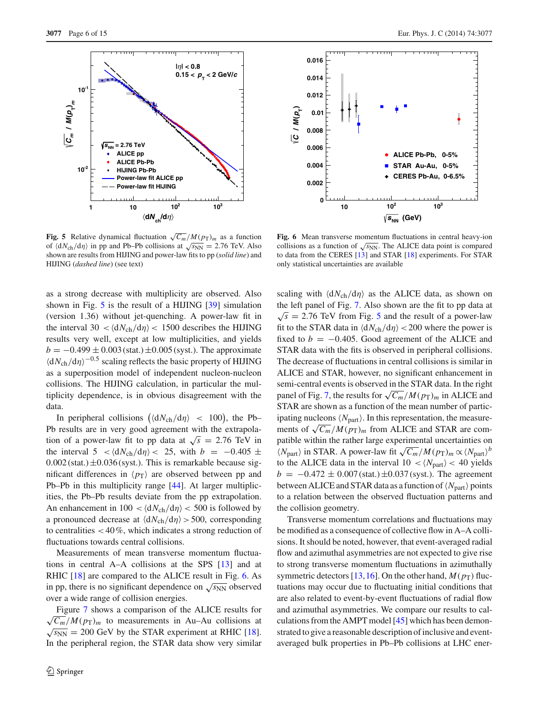

<span id="page-5-0"></span>**Fig. 5** Relative dynamical fluctuation  $\sqrt{C_m}/M(p_T)_m$  as a function of  $\langle dN_{ch}/d\eta \rangle$  in pp and Pb–Pb collisions at  $\sqrt{s_{NN}} = 2.76$  TeV. Also shown are results from HIJING and power-law fits to pp (*solid line*) and HIJING (*dashed line*) (see text)

as a strong decrease with multiplicity are observed. Also shown in Fig.  $5$  is the result of a HIJING  $[39]$  $[39]$  simulation (version 1.36) without jet-quenching. A power-law fit in the interval  $30 < \langle dN_{ch}/d\eta \rangle < 1500$  describes the HIJING results very well, except at low multiplicities, and yields  $b = -0.499 \pm 0.003$  (stat.) $\pm 0.005$  (syst.). The approximate  $\langle dN_{ch}/d\eta \rangle$ <sup>-0.5</sup> scaling reflects the basic property of HIJING as a superposition model of independent nucleon-nucleon collisions. The HIJING calculation, in particular the multiplicity dependence, is in obvious disagreement with the data.

In peripheral collisions  $((dN_{ch}/d\eta) < 100)$ , the Pb– Pb results are in very good agreement with the extrapolation of a power-law fit to pp data at  $\sqrt{s}$  = 2.76 TeV in the interval 5 < $\langle dN_{ch}/d\eta \rangle$  < 25, with *b* = −0.405 ±  $0.002$  (stat.)  $\pm 0.036$  (syst.). This is remarkable because significant differences in  $\langle p_T \rangle$  are observed between pp and Pb–Pb in this multiplicity range [\[44\]](#page-8-27). At larger multiplicities, the Pb–Pb results deviate from the pp extrapolation. An enhancement in  $100 < \langle dN_{ch}/d\eta \rangle < 500$  is followed by a pronounced decrease at  $\langle dN_{ch}/d\eta \rangle > 500$ , corresponding to centralities  $<$  40%, which indicates a strong reduction of fluctuations towards central collisions.

Measurements of mean transverse momentum fluctuations in central A–A collisions at the SPS [\[13\]](#page-7-3) and at RHIC [\[18](#page-8-3)] are compared to the ALICE result in Fig. [6.](#page-5-1) As in pp, there is no significant dependence on  $\sqrt{s_{NN}}$  observed over a wide range of collision energies.

Figure [7](#page-6-0) shows a comparison of the ALICE results for  $\sqrt{C_m}/M(p_T)_m$  to measurements in Au–Au collisions at  $\sqrt{s_{NN}}$  = 200 GeV by the STAR experiment at RHIC [\[18](#page-8-3)]. In the peripheral region, the STAR data show very similar



<span id="page-5-1"></span>**Fig. 6** Mean transverse momentum fluctuations in central heavy-ion collisions as a function of  $\sqrt{s_{NN}}$ . The ALICE data point is compared to data from the CERES [\[13\]](#page-7-3) and STAR [\[18](#page-8-3)] experiments. For STAR only statistical uncertainties are available

scaling with  $\langle dN_{ch}/d\eta \rangle$  as the ALICE data, as shown on the left panel of Fig. [7.](#page-6-0) Also shown are the fit to pp data at  $\sqrt{s}$  = 2.76 TeV from Fig. [5](#page-5-0) and the result of a power-law fit to the STAR data in  $\langle dN_{ch}/d\eta \rangle$  < 200 where the power is fixed to  $b = -0.405$ . Good agreement of the ALICE and STAR data with the fits is observed in peripheral collisions. The decrease of fluctuations in central collisions is similar in ALICE and STAR, however, no significant enhancement in semi-central events is observed in the STAR data. In the right panel of Fig. [7,](#page-6-0) the results for  $\sqrt{C_m}/M(p_T)_m$  in ALICE and STAR are shown as a function of the mean number of participating nucleons  $\langle N_{\text{part}} \rangle$ . In this representation, the measurements of  $\sqrt{C_m}/M(p_T)_m$  from ALICE and STAR are compatible within the rather large experimental uncertainties on  $\langle N_{\text{part}} \rangle$  in STAR. A power-law fit  $\sqrt{C_m}/M(p_{\text{T}})$ <sub>*m*</sub> ∝  $\langle N_{\text{part}} \rangle$ <sup>*b*</sup> to the ALICE data in the interval  $10 \langle N_{part} \rangle$  < 40 yields  $b = -0.472 \pm 0.007$  (stat.) $\pm 0.037$  (syst.). The agreement between ALICE and STAR data as a function of  $\langle N_{\text{part}} \rangle$  points to a relation between the observed fluctuation patterns and the collision geometry.

Transverse momentum correlations and fluctuations may be modified as a consequence of collective flow in A–A collisions. It should be noted, however, that event-averaged radial flow and azimuthal asymmetries are not expected to give rise to strong transverse momentum fluctuations in azimuthally symmetric detectors [\[13](#page-7-3), 16]. On the other hand,  $M(p_T)$  fluctuations may occur due to fluctuating initial conditions that are also related to event-by-event fluctuations of radial flow and azimuthal asymmetries. We compare our results to calculations from the AMPT model [\[45\]](#page-8-29) which has been demonstrated to give a reasonable description of inclusive and eventaveraged bulk properties in Pb–Pb collisions at LHC ener-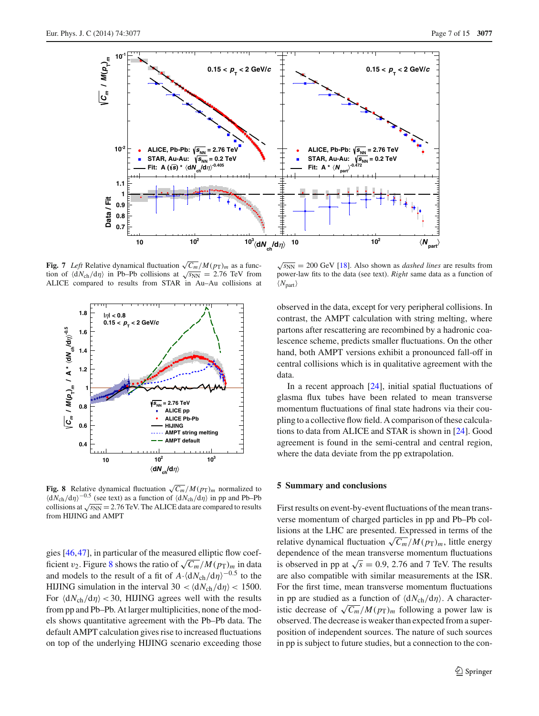

<span id="page-6-0"></span>**Fig. 7** *Left* Relative dynamical fluctuation  $\sqrt{C_m}/M(p_T)_m$  as a function of  $\langle dN_{ch}/d\eta \rangle$  in Pb–Pb collisions at  $\sqrt{s_{NN}} = 2.76$  TeV from ALICE compared to results from STAR in Au–Au collisions at



<span id="page-6-1"></span>**Fig. 8** Relative dynamical fluctuation  $\sqrt{C_m}/M(p_T)_m$  normalized to  $\langle dN_{ch}/d\eta \rangle$ <sup>-0.5</sup> (see text) as a function of  $\langle dN_{ch}/d\eta \rangle$  in pp and Pb–Pb collisions at  $\sqrt{s_{NN}}$  = 2.76 TeV. The ALICE data are compared to results from HIJING and AMPT

gies [\[46,](#page-8-30)[47\]](#page-8-31), in particular of the measured elliptic flow coef-ficient v<sub>2</sub>. Figure [8](#page-6-1) shows the ratio of  $\sqrt{C_m}/M(p_T)_m$  in data and models to the result of a fit of  $A \cdot \langle dN_{ch}/d\eta \rangle^{-0.5}$  to the HIJING simulation in the interval  $30 < \langle dN_{ch}/d\eta \rangle < 1500$ . For  $\langle dN_{ch}/d\eta \rangle$  < 30, HIJING agrees well with the results from pp and Pb–Pb. At larger multiplicities, none of the models shows quantitative agreement with the Pb–Pb data. The default AMPT calculation gives rise to increased fluctuations on top of the underlying HIJING scenario exceeding those

 $\sqrt{s_{NN}}$  = 200 GeV [\[18\]](#page-8-3). Also shown as *dashed lines* are results from power-law fits to the data (see text). *Right* same data as a function of  $\langle N_{\text{part}} \rangle$ 

observed in the data, except for very peripheral collisions. In contrast, the AMPT calculation with string melting, where partons after rescattering are recombined by a hadronic coalescence scheme, predicts smaller fluctuations. On the other hand, both AMPT versions exhibit a pronounced fall-off in central collisions which is in qualitative agreement with the data.

In a recent approach [\[24](#page-8-7)], initial spatial fluctuations of glasma flux tubes have been related to mean transverse momentum fluctuations of final state hadrons via their coupling to a collective flow field. A comparison of these calculations to data from ALICE and STAR is shown in [\[24](#page-8-7)]. Good agreement is found in the semi-central and central region, where the data deviate from the pp extrapolation.

### **5 Summary and conclusions**

First results on event-by-event fluctuations of the mean transverse momentum of charged particles in pp and Pb–Pb collisions at the LHC are presented. Expressed in terms of the relative dynamical fluctuation  $\sqrt{C_m}/M(p_T)_m$ , little energy dependence of the mean transverse momentum fluctuations is observed in pp at  $\sqrt{s} = 0.9$ , 2.76 and 7 TeV. The results are also compatible with similar measurements at the ISR. For the first time, mean transverse momentum fluctuations in pp are studied as a function of  $\langle dN_{ch}/d\eta \rangle$ . A characteristic decrease of  $\sqrt{C_m}/M(p_T)_m$  following a power law is observed. The decrease is weaker than expected from a superposition of independent sources. The nature of such sources in pp is subject to future studies, but a connection to the con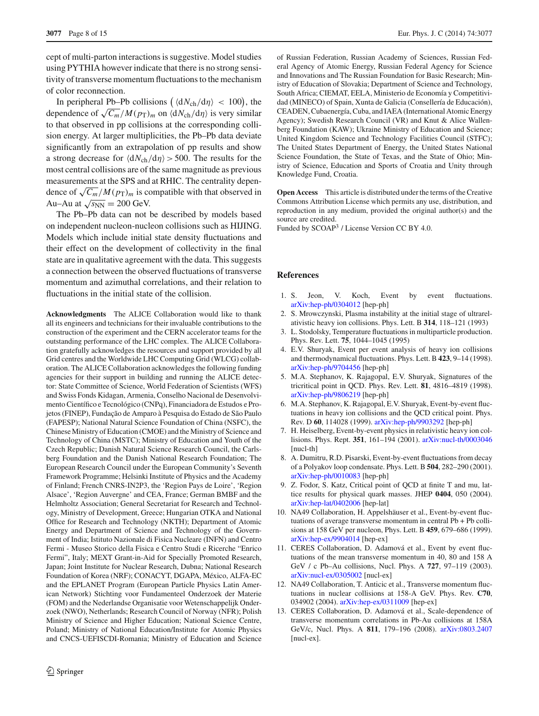cept of multi-parton interactions is suggestive. Model studies using PYTHIA however indicate that there is no strong sensitivity of transverse momentum fluctuations to the mechanism of color reconnection.

In peripheral Pb–Pb collisions  $(dN_{ch}/d\eta) < 100$ , the dependence of  $\sqrt{C_m}/M(p_T)_m$  on  $\langle dN_{ch}/d\eta \rangle$  is very similar to that observed in pp collisions at the corresponding collision energy. At larger multiplicities, the Pb–Pb data deviate significantly from an extrapolation of pp results and show a strong decrease for  $\langle dN_{ch}/d\eta \rangle > 500$ . The results for the most central collisions are of the same magnitude as previous measurements at the SPS and at RHIC. The centrality dependence of  $\sqrt{C_m}/M(p_T)_m$  is compatible with that observed in Au–Au at  $\sqrt{s_{NN}} = 200$  GeV.

The Pb–Pb data can not be described by models based on independent nucleon-nucleon collisions such as HIJING. Models which include initial state density fluctuations and their effect on the development of collectivity in the final state are in qualitative agreement with the data. This suggests a connection between the observed fluctuations of transverse momentum and azimuthal correlations, and their relation to fluctuations in the initial state of the collision.

**Acknowledgments** The ALICE Collaboration would like to thank all its engineers and technicians for their invaluable contributions to the construction of the experiment and the CERN accelerator teams for the outstanding performance of the LHC complex. The ALICE Collaboration gratefully acknowledges the resources and support provided by all Grid centres and the Worldwide LHC Computing Grid (WLCG) collaboration. The ALICE Collaboration acknowledges the following funding agencies for their support in building and running the ALICE detector: State Committee of Science, World Federation of Scientists (WFS) and Swiss Fonds Kidagan, Armenia, Conselho Nacional de Desenvolvimento Científico e Tecnológico (CNPq), Financiadora de Estudos e Projetos (FINEP), Fundação de Amparo à Pesquisa do Estado de São Paulo (FAPESP); National Natural Science Foundation of China (NSFC), the Chinese Ministry of Education (CMOE) and the Ministry of Science and Technology of China (MSTC); Ministry of Education and Youth of the Czech Republic; Danish Natural Science Research Council, the Carlsberg Foundation and the Danish National Research Foundation; The European Research Council under the European Community's Seventh Framework Programme; Helsinki Institute of Physics and the Academy of Finland; French CNRS-IN2P3, the 'Region Pays de Loire', 'Region Alsace', 'Region Auvergne' and CEA, France; German BMBF and the Helmholtz Association; General Secretariat for Research and Technology, Ministry of Development, Greece; Hungarian OTKA and National Office for Research and Technology (NKTH); Department of Atomic Energy and Department of Science and Technology of the Government of India; Istituto Nazionale di Fisica Nucleare (INFN) and Centro Fermi - Museo Storico della Fisica e Centro Studi e Ricerche "Enrico Fermi", Italy; MEXT Grant-in-Aid for Specially Promoted Research, Japan; Joint Institute for Nuclear Research, Dubna; National Research Foundation of Korea (NRF); CONACYT, DGAPA, México, ALFA-EC and the EPLANET Program (European Particle Physics Latin American Network) Stichting voor Fundamenteel Onderzoek der Materie (FOM) and the Nederlandse Organisatie voor Wetenschappelijk Onderzoek (NWO), Netherlands; Research Council of Norway (NFR); Polish Ministry of Science and Higher Education; National Science Centre, Poland; Ministry of National Education/Institute for Atomic Physics and CNCS-UEFISCDI-Romania; Ministry of Education and Science of Russian Federation, Russian Academy of Sciences, Russian Federal Agency of Atomic Energy, Russian Federal Agency for Science and Innovations and The Russian Foundation for Basic Research; Ministry of Education of Slovakia; Department of Science and Technology, South Africa; CIEMAT, EELA, Ministerio de Economía y Competitividad (MINECO) of Spain, Xunta de Galicia (Consellería de Educación), CEADEN, Cubaenergía, Cuba, and IAEA (International Atomic Energy Agency); Swedish Research Council (VR) and Knut & Alice Wallenberg Foundation (KAW); Ukraine Ministry of Education and Science; United Kingdom Science and Technology Facilities Council (STFC); The United States Department of Energy, the United States National Science Foundation, the State of Texas, and the State of Ohio; Ministry of Science, Education and Sports of Croatia and Unity through Knowledge Fund, Croatia.

**Open Access** This article is distributed under the terms of the Creative Commons Attribution License which permits any use, distribution, and reproduction in any medium, provided the original author(s) and the source are credited.

Funded by SCOAP<sup>3</sup> / License Version CC BY 4.0.

#### **References**

- <span id="page-7-0"></span>1. S. Jeon, V. Koch, Event by event fluctuations. [arXiv:hep-ph/0304012](http://arxiv.org/abs/hep-ph/0304012) [hep-ph]
- 2. S. Mrowczynski, Plasma instability at the initial stage of ultrarelativistic heavy ion collisions. Phys. Lett. B **314**, 118–121 (1993)
- 3. L. Stodolsky, Temperature fluctuations in multiparticle production. Phys. Rev. Lett. **75**, 1044–1045 (1995)
- 4. E.V. Shuryak, Event per event analysis of heavy ion collisions and thermodynamical fluctuations. Phys. Lett. B **423**, 9–14 (1998). [arXiv:hep-ph/9704456](http://arxiv.org/abs/hep-ph/9704456) [hep-ph]
- 5. M.A. Stephanov, K. Rajagopal, E.V. Shuryak, Signatures of the tricritical point in QCD. Phys. Rev. Lett. **81**, 4816–4819 (1998). [arXiv:hep-ph/9806219](http://arxiv.org/abs/hep-ph/9806219) [hep-ph]
- 6. M.A. Stephanov, K. Rajagopal, E.V. Shuryak, Event-by-event fluctuations in heavy ion collisions and the QCD critical point. Phys. Rev. D **60**, 114028 (1999). [arXiv:hep-ph/9903292](http://arxiv.org/abs/hep-ph/9903292) [hep-ph]
- 7. H. Heiselberg, Event-by-event physics in relativistic heavy ion collisions. Phys. Rept. **351**, 161–194 (2001). [arXiv:nucl-th/0003046](http://arxiv.org/abs/nucl-th/0003046) [nucl-th]
- 8. A. Dumitru, R.D. Pisarski, Event-by-event fluctuations from decay of a Polyakov loop condensate. Phys. Lett. B **504**, 282–290 (2001). [arXiv:hep-ph/0010083](http://arxiv.org/abs/hep-ph/0010083) [hep-ph]
- <span id="page-7-1"></span>9. Z. Fodor, S. Katz, Critical point of QCD at finite T and mu, lattice results for physical quark masses. JHEP **0404**, 050 (2004). [arXiv:hep-lat/0402006](http://arxiv.org/abs/hep-lat/0402006) [hep-lat]
- <span id="page-7-2"></span>10. NA49 Collaboration, H. Appelshäuser et al., Event-by-event fluctuations of average transverse momentum in central Pb + Pb collisions at 158 GeV per nucleon, Phys. Lett. B **459**, 679–686 (1999). [arXiv:hep-ex/9904014](http://arxiv.org/abs/hep-ex/9904014) [hep-ex]
- 11. CERES Collaboration, D. Adamová et al., Event by event fluctuations of the mean transverse momentum in 40, 80 and 158 A GeV / c Pb–Au collisions, Nucl. Phys. A **727**, 97–119 (2003). [arXiv:nucl-ex/0305002](http://arxiv.org/abs/nucl-ex/0305002) [nucl-ex]
- 12. NA49 Collaboration, T. Anticic et al., Transverse momentum fluctuations in nuclear collisions at 158-A GeV. Phys. Rev. **C70**, 034902 (2004). [arXiv:hep-ex/0311009](http://arxiv.org/abs/hep-ex/0311009) [hep-ex]
- <span id="page-7-3"></span>13. CERES Collaboration, D. Adamová et al., Scale-dependence of transverse momentum correlations in Pb-Au collisions at 158A GeV/c, Nucl. Phys. A **811**, 179–196 (2008). [arXiv:0803.2407](http://arxiv.org/abs/0803.2407) [nucl-ex].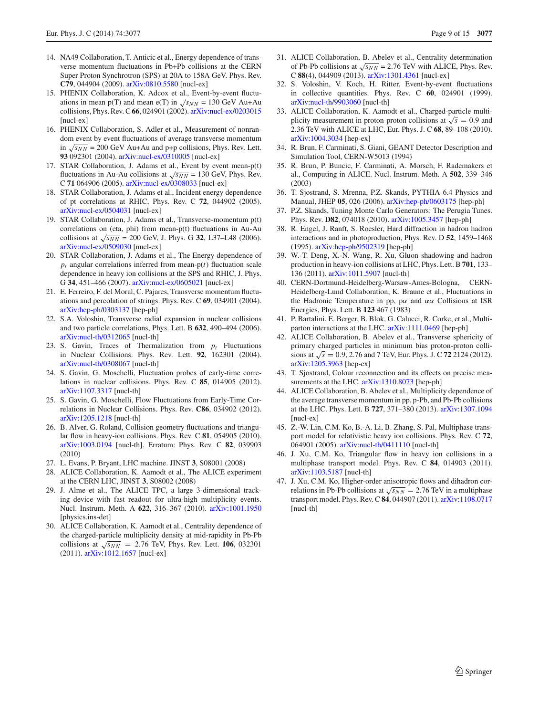- <span id="page-8-0"></span>14. NA49 Collaboration, T. Anticic et al., Energy dependence of transverse momentum fluctuations in Pb+Pb collisions at the CERN Super Proton Synchrotron (SPS) at 20A to 158A GeV. Phys. Rev. **C79**, 044904 (2009). [arXiv:0810.5580](http://arxiv.org/abs/0810.5580) [nucl-ex]
- <span id="page-8-1"></span>15. PHENIX Collaboration, K. Adcox et al., Event-by-event fluctuations in mean p(T) and mean e(T) in  $\sqrt{s_{NN}}$  = 130 GeV Au+Au collisions, Phys. Rev. C**66**, 024901 (2002). [arXiv:nucl-ex/0203015](http://arxiv.org/abs/nucl-ex/0203015) [nucl-ex]
- <span id="page-8-28"></span>16. PHENIX Collaboration, S. Adler et al., Measurement of nonrandom event by event fluctuations of average transverse momentum in  $\sqrt{s_{NN}}$  = 200 GeV Au+Au and p+p collisions, Phys. Rev. Lett. **93** 092301 (2004). [arXiv:nucl-ex/0310005](http://arxiv.org/abs/nucl-ex/0310005) [nucl-ex]
- 17. STAR Collaboration, J. Adams et al., Event by event mean-p(t) fluctuations in Au-Au collisions at  $\sqrt{s_{NN}}$  = 130 GeV, Phys. Rev. C **71** 064906 (2005). [arXiv:nucl-ex/0308033](http://arxiv.org/abs/nucl-ex/0308033) [nucl-ex]
- <span id="page-8-3"></span>18. STAR Collaboration, J. Adams et al., Incident energy dependence of pt correlations at RHIC, Phys. Rev. C **72**, 044902 (2005). [arXiv:nucl-ex/0504031](http://arxiv.org/abs/nucl-ex/0504031) [nucl-ex]
- 19. STAR Collaboration, J. Adams et al., Transverse-momentum p(t) correlations on (eta, phi) from mean-p(t) fluctuations in Au-Au collisions at  $\sqrt{s_{NN}}$  = 200 GeV, J. Phys. G 32, L37–L48 (2006). [arXiv:nucl-ex/0509030](http://arxiv.org/abs/nucl-ex/0509030) [nucl-ex]
- <span id="page-8-2"></span>20. STAR Collaboration, J. Adams et al., The Energy dependence of  $p_t$  angular correlations inferred from mean- $p(t)$  fluctuation scale dependence in heavy ion collisions at the SPS and RHIC, J. Phys. G **34**, 451–466 (2007). [arXiv:nucl-ex/0605021](http://arxiv.org/abs/nucl-ex/0605021) [nucl-ex]
- <span id="page-8-4"></span>21. E. Ferreiro, F. del Moral, C. Pajares, Transverse momentum fluctuations and percolation of strings. Phys. Rev. C **69**, 034901 (2004). [arXiv:hep-ph/0303137](http://arxiv.org/abs/hep-ph/0303137) [hep-ph]
- <span id="page-8-5"></span>22. S.A. Voloshin, Transverse radial expansion in nuclear collisions and two particle correlations, Phys. Lett. B **632**, 490–494 (2006). [arXiv:nucl-th/0312065](http://arxiv.org/abs/nucl-th/0312065) [nucl-th]
- <span id="page-8-6"></span>23. S. Gavin, Traces of Thermalization from  $p_t$  Fluctuations in Nuclear Collisions. Phys. Rev. Lett. **92**, 162301 (2004). [arXiv:nucl-th/0308067](http://arxiv.org/abs/nucl-th/0308067) [nucl-th]
- <span id="page-8-7"></span>24. S. Gavin, G. Moschelli, Fluctuation probes of early-time correlations in nuclear collisions. Phys. Rev. C **85**, 014905 (2012). [arXiv:1107.3317](http://arxiv.org/abs/arXiv:1107.3317) [nucl-th]
- <span id="page-8-8"></span>25. S. Gavin, G. Moschelli, Flow Fluctuations from Early-Time Correlations in Nuclear Collisions. Phys. Rev. **C86**, 034902 (2012). [arXiv:1205.1218](http://arxiv.org/abs/1205.1218) [nucl-th]
- <span id="page-8-9"></span>26. B. Alver, G. Roland, Collision geometry fluctuations and triangular flow in heavy-ion collisions. Phys. Rev. C **81**, 054905 (2010). [arXiv:1003.0194](http://arxiv.org/abs/1003.0194) [nucl-th]. Erratum: Phys. Rev. C **82**, 039903 (2010)
- <span id="page-8-10"></span>27. L. Evans, P. Bryant, LHC machine. JINST **3**, S08001 (2008)
- <span id="page-8-11"></span>28. ALICE Collaboration, K. Aamodt et al., The ALICE experiment at the CERN LHC, JINST **3**, S08002 (2008)
- <span id="page-8-12"></span>29. J. Alme et al., The ALICE TPC, a large 3-dimensional tracking device with fast readout for ultra-high multiplicity events. Nucl. Instrum. Meth. A **622**, 316–367 (2010). [arXiv:1001.1950](http://arxiv.org/abs/1001.1950) [physics.ins-det]
- <span id="page-8-13"></span>30. ALICE Collaboration, K. Aamodt et al., Centrality dependence of the charged-particle multiplicity density at mid-rapidity in Pb-Pb collisions at  $\sqrt{s_{NN}}$  = 2.76 TeV, Phys. Rev. Lett. 106, 032301 (2011). [arXiv:1012.1657](http://arxiv.org/abs/1012.1657) [nucl-ex]
- <span id="page-8-14"></span>31. ALICE Collaboration, B. Abelev et al., Centrality determination of Pb-Pb collisions at  $\sqrt{s_{NN}}$  = 2.76 TeV with ALICE, Phys. Rev. C **88**(4), 044909 (2013). [arXiv:1301.4361](http://arxiv.org/abs/1301.4361) [nucl-ex]
- <span id="page-8-15"></span>32. S. Voloshin, V. Koch, H. Ritter, Event-by-event fluctuations in collective quantities. Phys. Rev. C **60**, 024901 (1999). [arXiv:nucl-th/9903060](http://arxiv.org/abs/nucl-th/9903060) [nucl-th]
- <span id="page-8-16"></span>33. ALICE Collaboration, K. Aamodt et al., Charged-particle multiplicity measurement in proton-proton collisions at  $\sqrt{s} = 0.9$  and 2.36 TeV with ALICE at LHC, Eur. Phys. J. C **68**, 89–108 (2010). [arXiv:1004.3034](http://arxiv.org/abs/1004.3034) [hep-ex]
- <span id="page-8-17"></span>34. R. Brun, F. Carminati, S. Giani, GEANT Detector Description and Simulation Tool, CERN-W5013 (1994)
- <span id="page-8-18"></span>35. R. Brun, P. Buncic, F. Carminati, A. Morsch, F. Rademakers et al., Computing in ALICE. Nucl. Instrum. Meth. A **502**, 339–346 (2003)
- <span id="page-8-19"></span>36. T. Sjostrand, S. Mrenna, P.Z. Skands, PYTHIA 6.4 Physics and Manual, JHEP **05**, 026 (2006). [arXiv:hep-ph/0603175](http://arxiv.org/abs/hep-ph/0603175) [hep-ph]
- <span id="page-8-20"></span>37. P.Z. Skands, Tuning Monte Carlo Generators: The Perugia Tunes. Phys. Rev. **D82**, 074018 (2010). [arXiv:1005.3457](http://arxiv.org/abs/1005.3457) [hep-ph]
- <span id="page-8-21"></span>38. R. Engel, J. Ranft, S. Roesler, Hard diffraction in hadron hadron interactions and in photoproduction, Phys. Rev. D **52**, 1459–1468 (1995). [arXiv:hep-ph/9502319](http://arxiv.org/abs/hep-ph/9502319) [hep-ph]
- <span id="page-8-22"></span>39. W.-T. Deng, X.-N. Wang, R. Xu, Gluon shadowing and hadron production in heavy-ion collisions at LHC, Phys. Lett. B **701**, 133– 136 (2011). [arXiv:1011.5907](http://arxiv.org/abs/1011.5907) [nucl-th]
- <span id="page-8-23"></span>40. CERN-Dortmund-Heidelberg-Warsaw-Ames-Bologna, CERN-Heidelberg-Lund Collaboration, K. Braune et al., Fluctuations in the Hadronic Temperature in pp,  $p\alpha$  and  $\alpha\alpha$  Collisions at ISR Energies, Phys. Lett. B **123** 467 (1983)
- <span id="page-8-24"></span>41. P. Bartalini, E. Berger, B. Blok, G. Calucci, R. Corke, et al., Multiparton interactions at the LHC. [arXiv:1111.0469](http://arxiv.org/abs/1111.0469) [hep-ph]
- <span id="page-8-25"></span>42. ALICE Collaboration, B. Abelev et al., Transverse sphericity of primary charged particles in minimum bias proton-proton collisions at  $\sqrt{s} = 0.9, 2.76$  and 7 TeV, Eur. Phys. J. C 72 2124 (2012). [arXiv:1205.3963](http://arxiv.org/abs/1205.3963) [hep-ex]
- <span id="page-8-26"></span>43. T. Sjostrand, Colour reconnection and its effects on precise measurements at the LHC. [arXiv:1310.8073](http://arxiv.org/abs/1310.8073) [hep-ph]
- <span id="page-8-27"></span>44. ALICE Collaboration, B. Abelev et al., Multiplicity dependence of the average transverse momentum in pp, p-Pb, and Pb-Pb collisions at the LHC. Phys. Lett. B **727**, 371–380 (2013). [arXiv:1307.1094](http://arxiv.org/abs/1307.1094) [nucl-ex]
- <span id="page-8-29"></span>45. Z.-W. Lin, C.M. Ko, B.-A. Li, B. Zhang, S. Pal, Multiphase transport model for relativistic heavy ion collisions. Phys. Rev. C **72**, 064901 (2005). [arXiv:nucl-th/0411110](http://arxiv.org/abs/nucl-th/0411110) [nucl-th]
- <span id="page-8-30"></span>46. J. Xu, C.M. Ko, Triangular flow in heavy ion collisions in a multiphase transport model. Phys. Rev. C **84**, 014903 (2011). [arXiv:1103.5187](http://arxiv.org/abs/1103.5187) [nucl-th]
- <span id="page-8-31"></span>47. J. Xu, C.M. Ko, Higher-order anisotropic flows and dihadron correlations in Pb-Pb collisions at  $\sqrt{s_{NN}}$  = 2.76 TeV in a multiphase transport model. Phys. Rev. C **84**, 044907 (2011). [arXiv:1108.0717](http://arxiv.org/abs/1108.0717) [nucl-th]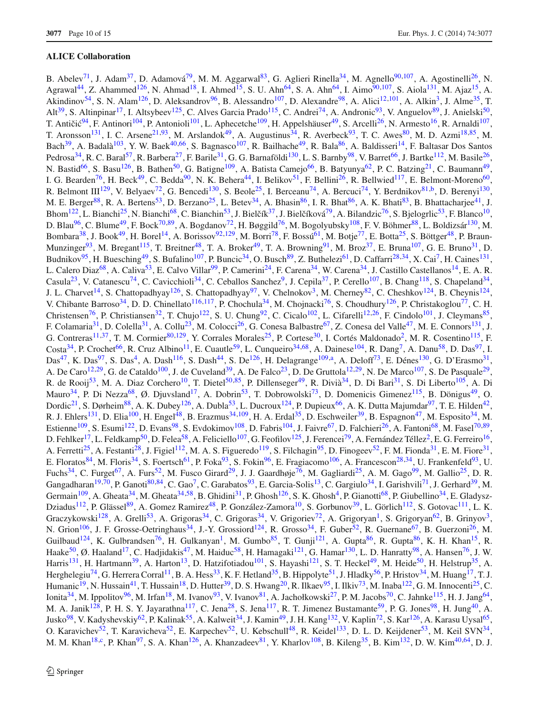## **ALICE Collaboration**

B. Abelev<sup>71</sup>, J. Adam<sup>37</sup>, D. Adamová<sup>79</sup>, M. M. Aggarwal<sup>83</sup>, G. Aglieri Rinella<sup>34</sup>, M. Agnello<sup>90,107</sup>, A. Agostinelli<sup>26</sup>, N. Agrawal<sup>44</sup>, Z. Ahammed<sup>126</sup>, N. Ahmad<sup>18</sup>, I. Ahmed<sup>15</sup>, S. U. Ahn<sup>64</sup>, S. A. Ahn<sup>64</sup>, I. Aimo<sup>90,107</sup>, S. Aiola<sup>131</sup>, M. Ajaz<sup>15</sup>, A. Akindinov<sup>54</sup>, S. N. Alam<sup>126</sup>, D. Aleksandrov<sup>96</sup>, B. Alessandro<sup>107</sup>, D. Alexandre<sup>98</sup>, A. Alici<sup>12,101</sup>, A. Alkin<sup>3</sup>, J. Alme<sup>35</sup>, T. Alt<sup>39</sup>, S. Altinpinar<sup>17</sup>, I. Altsybeev<sup>125</sup>, C. Alves Garcia Prado<sup>115</sup>, C. Andrei<sup>74</sup>, A. Andronic<sup>93</sup>, V. Anguelov<sup>89</sup>, J. Anielski<sup>50</sup>, T. Antičić<sup>94</sup>, F. Antinori<sup>104</sup>, P. Antonioli<sup>101</sup>, L. Aphecetche<sup>109</sup>, H. Appelshäuser<sup>49</sup>, S. Arcelli<sup>26</sup>, N. Armesto<sup>16</sup>, R. Arnaldi<sup>107</sup>, T. Aronsson<sup>131</sup>, I. C. Arsene<sup>21,93</sup>, M. Arslandok<sup>49</sup>, A. Augustinus<sup>34</sup>, R. Averbeck<sup>93</sup>, T. C. Awes<sup>80</sup>, M. D. Azmi<sup>18,85</sup>, M. Bach<sup>39</sup>, A. Badalà<sup>103</sup>, Y. W. Baek<sup>40,66</sup>, S. Bagnasco<sup>107</sup>, R. Bailhache<sup>49</sup>, R. Bala<sup>86</sup>, A. Baldisseri<sup>14</sup>, F. Baltasar Dos Santos Pedrosa<sup>34</sup>, R. C. Baral<sup>57</sup>, R. Barbera<sup>27</sup>, F. Barile<sup>31</sup>, G. G. Barnaföldi<sup>130</sup>, L. S. Barnby<sup>98</sup>, V. Barret<sup>66</sup>, J. Bartke<sup>112</sup>, M. Basile<sup>26</sup>, N. Bastid<sup>66</sup>, S. Basu<sup>126</sup>, B. Bathen<sup>50</sup>, G. Batigne<sup>109</sup>, A. Batista Camejo<sup>66</sup>, B. Batyunya<sup>62</sup>, P. C. Batzing<sup>21</sup>, C. Baumann<sup>49</sup>, I. G. Bearden<sup>76</sup>, H. Beck<sup>49</sup>, C. Bedda<sup>90</sup>, N. K. Behera<sup>44</sup>, I. Belikov<sup>51</sup>, F. Bellini<sup>26</sup>, R. Bellwied<sup>117</sup>, E. Belmont-Moreno<sup>60</sup>, R. Belmont III<sup>129</sup>, V. Belyaev<sup>72</sup>, G. Bencedi<sup>130</sup>, S. Beole<sup>25</sup>, I. Berceanu<sup>74</sup>, A. Bercuci<sup>74</sup>, Y. Berdnikov<sup>81,b</sup>, D. Berenyi<sup>130</sup>, M. E. Berger<sup>88</sup>, R. A. Bertens<sup>53</sup>, D. Berzano<sup>25</sup>, L. Betev<sup>34</sup>, A. Bhasin<sup>86</sup>, I. R. Bhat<sup>86</sup>, A. K. Bhati<sup>83</sup>, B. Bhattacharjee<sup>41</sup>, J. Bhom<sup>122</sup>, L. Bianchi<sup>25</sup>, N. Bianchi<sup>68</sup>, C. Bianchin<sup>53</sup>, J. Bielčík<sup>37</sup>, J. Bielčíková<sup>79</sup>, A. Bilandzic<sup>76</sup>, S. Bjelogrlic<sup>53</sup>, F. Blanco<sup>10</sup>, D. Blau<sup>96</sup>, C. Blume<sup>49</sup>, F. Bock<sup>70,89</sup>, A. Bogdanov<sup>72</sup>, H. Bøggild<sup>76</sup>, M. Bogolyubsky<sup>108</sup>, F. V. Böhmer<sup>88</sup>, L. Boldizsár<sup>130</sup>, M. Bombara<sup>38</sup>, J. Book<sup>49</sup>, H. Borel<sup>14</sup>, A. Borissov<sup>92,129</sup>, M. Borri<sup>78</sup>, F. Bossú<sup>61</sup>, M. Botje<sup>77</sup>, E. Botta<sup>25</sup>, S. Böttger<sup>48</sup>, P. Braun-Munzinger<sup>93</sup>, M. Bregant<sup>115</sup>, T. Breitner<sup>48</sup>, T. A. Broker<sup>49</sup>, T. A. Browning<sup>91</sup>, M. Broz<sup>37</sup>, E. Bruna<sup>107</sup>, G. E. Bruno<sup>31</sup>, D. Budnikov<sup>95</sup>, H. Buesching<sup>49</sup>, S. Bufalino<sup>107</sup>, P. Buncic<sup>34</sup>, O. Busch<sup>89</sup>, Z. Buthelezi<sup>61</sup>, D. Caffarri<sup>28,34</sup>, X. Cai<sup>7</sup>, H. Caines<sup>131</sup>, L. Calero Diaz<sup>68</sup>, A. Caliva<sup>53</sup>, E. Calvo Villar<sup>99</sup>, P. Camerini<sup>24</sup>, F. Carena<sup>34</sup>, W. Carena<sup>34</sup>, J. Castillo Castellanos<sup>14</sup>, E. A. R. Casula<sup>23</sup>, V. Catanescu<sup>74</sup>, C. Cavicchioli<sup>34</sup>, C. Ceballos Sanchez<sup>9</sup>, J. Cepila<sup>37</sup>, P. Cerello<sup>107</sup>, B. Chang<sup>118</sup>, S. Chapeland<sup>34</sup>, J. L. Charvet<sup>14</sup>, S. Chattopadhyay<sup>126</sup>, S. Chattopadhyay<sup>97</sup>, V. Chelnokov<sup>3</sup>, M. Cherney<sup>82</sup>, C. Cheshkov<sup>124</sup>, B. Cheynis<sup>124</sup>, V. Chibante Barroso<sup>34</sup>, D. D. Chinellato<sup>116,117</sup>, P. Chochula<sup>34</sup>, M. Chojnacki<sup>76</sup>, S. Choudhury<sup>126</sup>, P. Christakoglou<sup>77</sup>, C. H. Christensen<sup>76</sup>, P. Christiansen<sup>32</sup>, T. Chujo<sup>122</sup>, S. U. Chung<sup>92</sup>, C. Cicalo<sup>102</sup>, L. Cifarelli<sup>12,26</sup>, F. Cindolo<sup>101</sup>, J. Cleymans<sup>85</sup>, F. Colamaria<sup>31</sup>, D. Colella<sup>31</sup>, A. Collu<sup>23</sup>, M. Colocci<sup>26</sup>, G. Conesa Balbastre<sup>67</sup>, Z. Conesa del Valle<sup>47</sup>, M. E. Connors<sup>131</sup>, J. G. Contreras<sup>[11](#page-11-20),37</sup>, T. M. Cormier<sup>80,129</sup>, Y. Corrales Morales<sup>25</sup>, P. Cortese<sup>30</sup>, I. Cortés Maldonado<sup>2</sup>, M. R. Cosentino<sup>115</sup>, F.  $\text{Costa}^{34}$ , P. Crochet<sup>66</sup>, R. Cruz Albino<sup>11</sup>, E. Cuautle<sup>59</sup>, L. Cunqueiro<sup>34,68</sup>, A. Dainese<sup>104</sup>, R. Dang<sup>7</sup>, A. Danu<sup>58</sup>, D. Das<sup>97</sup>, I. Das<sup>47</sup>, K. Das<sup>97</sup>, S. Das<sup>4</sup>, A. Dash<sup>116</sup>, S. Dash<sup>44</sup>, S. De<sup>126</sup>, H. Delagrange<sup>109,a</sup>, A. Deloff<sup>73</sup>, E. Dénes<sup>130</sup>, G. D'Erasmo<sup>31</sup>, A. De Caro<sup>12, 29</sup>, G. de Cataldo<sup>100</sup>, J. de Cuveland<sup>39</sup>, A. De Falco<sup>23</sup>, D. De Gruttola<sup>12, 29</sup>, N. De Marco<sup>107</sup>, S. De Pasquale<sup>29</sup>, R. de Rooij<sup>53</sup>, M. A. Diaz Corchero<sup>10</sup>, T. Dietel<sup>50,85</sup>, P. Dillenseger<sup>49</sup>, R. Divià<sup>34</sup>, D. Di Bari<sup>31</sup>, S. Di Liberto<sup>105</sup>, A. Di Mauro<sup>34</sup>, P. Di Nezza<sup>68</sup>, Ø. Djuvsland<sup>17</sup>, A. Dobrin<sup>53</sup>, T. Dobrowolski<sup>73</sup>, D. Domenicis Gimenez<sup>115</sup>, B. Dönigus<sup>49</sup>, O.  $Dordic<sup>21</sup>$ , S. Dørheim<sup>88</sup>, A. K. Dubey<sup>126</sup>, A. Dubla<sup>53</sup>, L. Ducroux<sup>124</sup>, P. Dupieux<sup>66</sup>, A. K. Dutta Majumdar<sup>97</sup>, T. E. Hilden<sup>42</sup>, R. J. Ehlers<sup>131</sup>, D. Elia<sup>100</sup>, H. Engel<sup>48</sup>, B. Erazmus<sup>34,109</sup>, H. A. Erdal<sup>35</sup>, D. Eschweiler<sup>39</sup>, B. Espagnon<sup>47</sup>, M. Esposito<sup>34</sup>, M. Estienne<sup>109</sup>, S. Esumi<sup>122</sup>, D. Evans<sup>98</sup>, S. Evdokimov<sup>108</sup>, D. Fabris<sup>104</sup>, J. Faivre<sup>67</sup>, D. Falchieri<sup>26</sup>, A. Fantoni<sup>68</sup>, M. Fasel<sup>70,89</sup>, D. Fehlker<sup>17</sup>, L. Feldkamp<sup>50</sup>, D. Felea<sup>58</sup>, A. Feliciello<sup>107</sup>, G. Feofilov<sup>125</sup>, J. Ferencei<sup>79</sup>, A. Fernández Téllez<sup>2</sup>, E. G. Ferreiro<sup>16</sup>, A. Ferretti<sup>25</sup>, A. Festanti<sup>28</sup>, J. Figiel<sup>112</sup>, M. A. S. Figueredo<sup>119</sup>, S. Filchagin<sup>95</sup>, D. Finogeev<sup>52</sup>, F. M. Fionda<sup>31</sup>, E. M. Fiore<sup>31</sup>, E. Floratos<sup>84</sup>, M. Floris<sup>34</sup>, S. Foertsch<sup>61</sup>, P. Foka<sup>93</sup>, S. Fokin<sup>96</sup>, E. Fragiacomo<sup>106</sup>, A. Francescon<sup>28,34</sup>, U. Frankenfeld<sup>93</sup>, U. Fuchs<sup>34</sup>, C. Furget<sup>67</sup>, A. Furs<sup>52</sup>, M. Fusco Girard<sup>29</sup>, J. J. Gaardhøje<sup>76</sup>, M. Gagliardi<sup>25</sup>, A. M. Gago<sup>99</sup>, M. Gallio<sup>25</sup>, D. R. Gangadharan<sup>19,70</sup>, P. Ganoti<sup>80,84</sup>, C. Gao<sup>7</sup>, C. Garabatos<sup>93</sup>, E. Garcia-Solis<sup>13</sup>, C. Gargiulo<sup>34</sup>, I. Garishvili<sup>71</sup>, J. Gerhard<sup>39</sup>, M. Germain<sup>109</sup>, A. Gheata<sup>34</sup>, M. Gheata<sup>34,58</sup>, B. Ghidini<sup>31</sup>, P. Ghosh<sup>126</sup>, S. K. Ghosh<sup>4</sup>, P. Gianotti<sup>68</sup>, P. Giubellino<sup>34</sup>, E. Gladysz-Dziadus<sup>112</sup>, P. Glässel<sup>89</sup>, A. Gomez Ramirez<sup>48</sup>, P. González-Zamora<sup>10</sup>, S. Gorbunov<sup>39</sup>, L. Görlich<sup>112</sup>, S. Gotovac<sup>111</sup>, L. K. Graczykowski<sup>128</sup>, A. Grelli<sup>53</sup>, A. Grigoras<sup>34</sup>, C. Grigoras<sup>34</sup>, V. Grigoriev<sup>72</sup>, A. Grigoryan<sup>1</sup>, S. Grigoryan<sup>62</sup>, B. Grinyov<sup>3</sup>, N. Grion<sup>106</sup>, J. F. Grosse-Oetringhaus<sup>34</sup>, J.-Y. Grossiord<sup>124</sup>, R. Grosso<sup>34</sup>, F. Guber<sup>52</sup>, R. Guernane<sup>67</sup>, B. Guerzoni<sup>26</sup>, M. Guilbaud<sup>124</sup>, K. Gulbrandsen<sup>76</sup>, H. Gulkanyan<sup>1</sup>, M. Gumbo<sup>85</sup>, T. Gunji<sup>121</sup>, A. Gupta<sup>86</sup>, R. Gupta<sup>86</sup>, K. H. Khan<sup>15</sup>, R. Haake<sup>50</sup>, Ø. Haaland<sup>17</sup>, C. Hadjidakis<sup>47</sup>, M. Haiduc<sup>58</sup>, H. Hamagaki<sup>121</sup>, G. Hamar<sup>130</sup>, L. D. Hanratty<sup>98</sup>, A. Hansen<sup>76</sup>, J. W. Harris<sup>131</sup>, H. Hartmann<sup>39</sup>, A. Harton<sup>13</sup>, D. Hatzifotiadou<sup>101</sup>, S. Hayashi<sup>121</sup>, S. T. Heckel<sup>49</sup>, M. Heide<sup>50</sup>, H. Helstrup<sup>35</sup>, A. Herghelegiu<sup>74</sup>, G. Herrera Corral<sup>11</sup>, B. A. Hess<sup>33</sup>, K. F. Hetland<sup>35</sup>, B. Hippolyte<sup>51</sup>, J. Hladky<sup>56</sup>, P. Hristov<sup>34</sup>, M. Huang<sup>17</sup>, T. J. Humanic<sup>19</sup>, N. Hussain<sup>41</sup>, T. Hussain<sup>18</sup>, D. Hutter<sup>39</sup>, D. S. Hwang<sup>20</sup>, R. Ilkaev<sup>95</sup>, I. Ilkiv<sup>73</sup>, M. Inaba<sup>122</sup>, G. M. Innocenti<sup>25</sup>, C. Ionita<sup>34</sup>, M. Ippolitov<sup>96</sup>, M. Irfan<sup>18</sup>, M. Ivanov<sup>93</sup>, V. Ivanov<sup>81</sup>, A. Jachołkowski<sup>27</sup>, P. M. Jacobs<sup>70</sup>, C. Jahnke<sup>115</sup>, H. J. Jang<sup>64</sup>, M. A. Janik<sup>128</sup>, P. H. S. Y. Jayarathna<sup>117</sup>, C. Jena<sup>28</sup>, S. Jena<sup>117</sup>, R. T. Jimenez Bustamante<sup>59</sup>, P. G. Jones<sup>98</sup>, H. Jung<sup>40</sup>, A. Jusko<sup>98</sup>, V. Kadyshevskiy<sup>62</sup>, P. Kalinak<sup>55</sup>, A. Kalweit<sup>34</sup>, J. Kamin<sup>49</sup>, J. H. Kang<sup>132</sup>, V. Kaplin<sup>72</sup>, S. Kar<sup>126</sup>, A. Karasu Uysal<sup>65</sup>, O. Karavichev<sup>52</sup>, T. Karavicheva<sup>52</sup>, E. Karpechev<sup>52</sup>, U. Kebschull<sup>48</sup>, R. Keidel<sup>133</sup>, D. L. D. Keijdener<sup>53</sup>, M. Keil SVN<sup>34</sup>, M. M. Khan<sup>18,c</sup>, P. Khan<sup>97</sup>, S. A. Khan<sup>126</sup>, A. Khanzadeev<sup>81</sup>, Y. Kharlov<sup>108</sup>, B. Kileng<sup>35</sup>, B. Kim<sup>132</sup>, D. W. Kim<sup>40,64</sup>, D. J.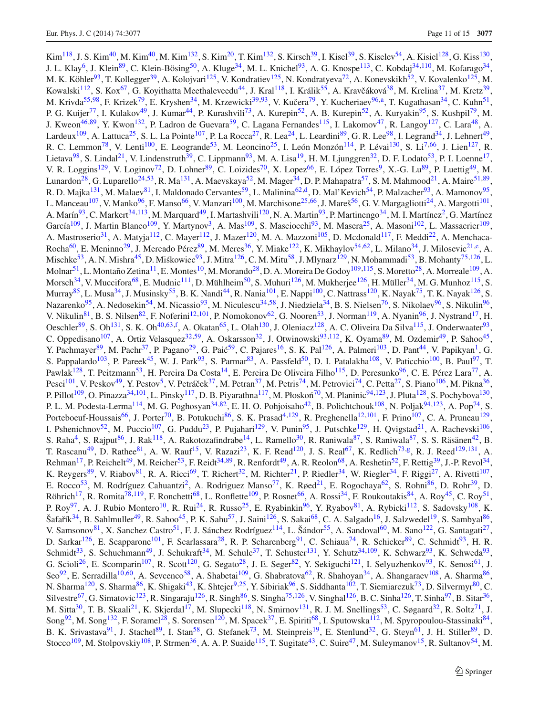Kim<sup>118</sup>, J. S. Kim<sup>40</sup>, M. Kim<sup>40</sup>, M. Kim<sup>132</sup>, S. Kim<sup>20</sup>, T. Kim<sup>132</sup>, S. Kirsch<sup>39</sup>, I. Kisel<sup>39</sup>, S. Kiselev<sup>54</sup>, A. Kisiel<sup>128</sup>, G. Kiss<sup>130</sup>, J. L. Klay<sup>6</sup>, J. Klein<sup>89</sup>, C. Klein-Bösing<sup>50</sup>, A. Kluge<sup>34</sup>, M. L. Knichel<sup>93</sup>, A. G. Knospe<sup>113</sup>, C. Kobdaj<sup>34,110</sup>, M. Kofarago<sup>34</sup>, M. K. Köhler<sup>93</sup>, T. Kollegger<sup>39</sup>, A. Kolojvari<sup>125</sup>, V. Kondratiev<sup>125</sup>, N. Kondratyeva<sup>72</sup>, A. Konevskikh<sup>52</sup>, V. Kovalenko<sup>125</sup>, M. Kowalski<sup>112</sup>, S. Kox<sup>67</sup>, G. Koyithatta Meethaleveedu<sup>44</sup>, J. Kral<sup>118</sup>, I. Králik<sup>55</sup>, A. Kravčáková<sup>38</sup>, M. Krelina<sup>37</sup>, M. Kretz<sup>39</sup>, M. Krivda<sup>55,98</sup>, F. Krizek<sup>79</sup>, E. Kryshen<sup>34</sup>, M. Krzewicki<sup>39,93</sup>, V. Kučera<sup>79</sup>, Y. Kucheriaev<sup>96,a</sup>, T. Kugathasan<sup>34</sup>, C. Kuhn<sup>51</sup>, P. G. Kuijer<sup>77</sup>, I. Kulakov<sup>49</sup>, J. Kumar<sup>44</sup>, P. Kurashvili<sup>73</sup>, A. Kurepin<sup>52</sup>, A. B. Kurepin<sup>52</sup>, A. Kuryakin<sup>95</sup>, S. Kushpil<sup>79</sup>, M. J. Kweon<sup>46,89</sup>, Y. Kwon<sup>132</sup>, P. Ladron de Guevara<sup>59</sup>, C. Lagana Fernandes<sup>115</sup>, I. Lakomov<sup>47</sup>, R. Langoy<sup>127</sup>, C. Lara<sup>48</sup>, A. Lardeux<sup>109</sup>, A. Lattuca<sup>25</sup>, S. L. La Pointe<sup>107</sup>, P. La Rocca<sup>27</sup>, R. Lea<sup>24</sup>, L. Leardini<sup>89</sup>, G. R. Lee<sup>98</sup>, I. Legrand<sup>34</sup>, J. Lehnert<sup>49</sup>, R. C. Lemmon<sup>78</sup>, V. Lenti<sup>100</sup>, E. Leogrande<sup>53</sup>, M. Leoncino<sup>25</sup>, I. León Monzón<sup>114</sup>, P. Lévai<sup>130</sup>, S. Li<sup>7,66</sup>, J. Lien<sup>127</sup>, R. Lietava<sup>98</sup>, S. Lindal<sup>21</sup>, V. Lindenstruth<sup>39</sup>, C. Lippmann<sup>93</sup>, M. A. Lisa<sup>19</sup>, H. M. Ljunggren<sup>32</sup>, D. F. Lodato<sup>53</sup>, P. I. Loenne<sup>17</sup>, V. R. Loggins<sup>129</sup>, V. Loginov<sup>72</sup>, D. Lohner<sup>89</sup>, C. Loizides<sup>70</sup>, X. Lopez<sup>66</sup>, E. López Torres<sup>9</sup>, X.-G. Lu<sup>89</sup>, P. Luettig<sup>49</sup>, M. Lunardon<sup>28</sup>, G. Luparello<sup>24,53</sup>, R. Ma<sup>131</sup>, A. Maevskaya<sup>52</sup>, M. Mager<sup>34</sup>, D. P. Mahapatra<sup>57</sup>, S. M. Mahmood<sup>21</sup>, A. Maire<sup>51,89</sup>, R. D. Majka<sup>131</sup>, M. Malaev<sup>81</sup>, I. Maldonado Cervantes<sup>59</sup>, L. Malinina<sup>62,d</sup>, D. Mal'Kevich<sup>54</sup>, P. Malzacher<sup>93</sup>, A. Mamonov<sup>95</sup>, L. Manceau<sup>107</sup>, V. Manko<sup>96</sup>, F. Manso<sup>66</sup>, V. Manzari<sup>100</sup>, M. Marchisone<sup>25,66</sup>, J. Mareš<sup>56</sup>, G. V. Margagliotti<sup>24</sup>, A. Margotti<sup>101</sup>, A. Marín<sup>93</sup>, C. Markert<sup>34,113</sup>, M. Marquard<sup>49</sup>, I. Martashvili<sup>120</sup>, N. A. Martin<sup>93</sup>, P. Martínengo<sup>34</sup>, M. I. Martínez<sup>2</sup>, G. Martínez García<sup>109</sup>, J. Martin Blanco<sup>109</sup>, Y. Martynov<sup>3</sup>, A. Mas<sup>109</sup>, S. Masciocchi<sup>93</sup>, M. Masera<sup>25</sup>, A. Masoni<sup>102</sup>, L. Massacrier<sup>109</sup>, A. Mastroserio<sup>31</sup>, A. Matyja<sup>112</sup>, C. Mayer<sup>112</sup>, J. Mazer<sup>120</sup>, M. A. Mazzoni<sup>105</sup>, D. Mcdonald<sup>117</sup>, F. Meddi<sup>22</sup>, A. Menchaca-Rocha<sup>60</sup>, E. Meninno<sup>29</sup>, J. Mercado Pérez<sup>89</sup>, M. Meres<sup>36</sup>, Y. Miake<sup>122</sup>, K. Mikhaylov<sup>54,62</sup>, L. Milano<sup>34</sup>, J. Milosevic<sup>21,e</sup>, A. Mischke<sup>53</sup>, A. N. Mishra<sup>45</sup>, D. Miśkowiec<sup>93</sup>, J. Mitra<sup>126</sup>, C. M. Mitu<sup>58</sup>, J. Mlynarz<sup>129</sup>, N. Mohammadi<sup>53</sup>, B. Mohanty<sup>75,126</sup>, L. Molnar<sup>51</sup>, L. Montaño Zetina<sup>11</sup>, E. Montes<sup>10</sup>, M. Morando<sup>28</sup>, D. A. Moreira De Godoy<sup>109,115</sup>, S. Moretto<sup>28</sup>, A. Morreale<sup>109</sup>, A. Morsch<sup>34</sup>, V. Muccifora<sup>68</sup>, E. Mudnic<sup>111</sup>, D. Mühlheim<sup>50</sup>, S. Muhuri<sup>126</sup>, M. Mukherjee<sup>126</sup>, H. Müller<sup>34</sup>, M. G. Munhoz<sup>115</sup>, S. Murray<sup>85</sup>, L. Musa<sup>34</sup>, J. Musinsky<sup>55</sup>, B. K. Nandi<sup>44</sup>, R. Nania<sup>101</sup>, E. Nappi<sup>100</sup>, C. Nattrass<sup>120</sup>, K. Nayak<sup>75</sup>, T. K. Nayak<sup>126</sup>, S. Nazarenko<sup>95</sup>, A. Nedosekin<sup>54</sup>, M. Nicassio<sup>93</sup>, M. Niculescu<sup>34,58</sup>, J. Niedziela<sup>34</sup>, B. S. Nielsen<sup>76</sup>, S. Nikolaev<sup>96</sup>, S. Nikulin<sup>96</sup>, V. Nikulin<sup>81</sup>, B. S. Nilsen<sup>82</sup>, F. Noferini<sup>12,101</sup>, P. Nomokonov<sup>62</sup>, G. Nooren<sup>53</sup>, J. Norman<sup>119</sup>, A. Nyanin<sup>96</sup>, J. Nystrand<sup>17</sup>, H. Oeschler<sup>89</sup>, S. Oh<sup>131</sup>, S. K. Oh<sup>40[,63](#page-12-49)[,f](#page-14-3)</sup>, A. Okatan<sup>65</sup>, L. Olah<sup>130</sup>, J. Oleniacz<sup>128</sup>, A. C. Oliveira Da Silva<sup>115</sup>, J. Onderwaater<sup>93</sup>, C. Oppedisano<sup>107</sup>, A. Ortiz Velasquez<sup>32,59</sup>, A. Oskarsson<sup>32</sup>, J. Otwinowski<sup>93,112</sup>, K. Oyama<sup>89</sup>, M. Ozdemir<sup>49</sup>, P. Sahoo<sup>45</sup>, Y. Pachmayer<sup>89</sup>, M. Pachr<sup>37</sup>, P. Pagano<sup>29</sup>, G. Paić<sup>59</sup>, C. Pajares<sup>16</sup>, S. K. Pal<sup>126</sup>, A. Palmeri<sup>103</sup>, D. Pant<sup>44</sup>, V. Papikyan<sup>1</sup>, G. S. Pappalardo<sup>103</sup>, P. Pareek<sup>45</sup>, W. J. Park<sup>93</sup>, S. Parmar<sup>83</sup>, A. Passfeld<sup>50</sup>, D. I. Patalakha<sup>108</sup>, V. Paticchio<sup>100</sup>, B. Paul<sup>97</sup>, T. Pawlak<sup>128</sup>, T. Peitzmann<sup>53</sup>, H. Pereira Da Costa<sup>14</sup>, E. Pereira De Oliveira Filho<sup>115</sup>, D. Peresunko<sup>96</sup>, C. E. Pérez Lara<sup>77</sup>, A. Pesci<sup>101</sup>, V. Peskov<sup>49</sup>, Y. Pestov<sup>5</sup>, V. Petráček<sup>37</sup>, M. Petran<sup>37</sup>, M. Petris<sup>74</sup>, M. Petrovici<sup>74</sup>, C. Petta<sup>27</sup>, S. Piano<sup>106</sup>, M. Pikna<sup>36</sup>, P. Pillot<sup>109</sup>, O. Pinazza<sup>34,101</sup>, L. Pinsky<sup>117</sup>, D. B. Piyarathna<sup>117</sup>, M. Płoskoń<sup>70</sup>, M. Planinic<sup>94,123</sup>, J. Pluta<sup>128</sup>, S. Pochybova<sup>130</sup>, P. L. M. Podesta-Lerma<sup>114</sup>, M. G. Poghosyan<sup>34,82</sup>, E. H. O. Pohjoisaho<sup>42</sup>, B. Polichtchouk<sup>108</sup>, N. Poliak<sup>94,123</sup>, A. Pop<sup>74</sup>, S. Porteboeuf-Houssais<sup>66</sup>, J. Porter<sup>70</sup>, B. Potukuchi<sup>86</sup>, S. K. Prasad<sup>4,129</sup>, R. Preghenella<sup>12,101</sup>, F. Prino<sup>107</sup>, C. A. Pruneau<sup>129</sup>, I. Pshenichnov<sup>52</sup>, M. Puccio<sup>107</sup>, G. Puddu<sup>23</sup>, P. Pujahari<sup>129</sup>, V. Punin<sup>95</sup>, J. Putschke<sup>129</sup>, H. Qvigstad<sup>21</sup>, A. Rachevski<sup>106</sup>, S. Raha<sup>4</sup>, S. Rajput<sup>86</sup>, J. Rak<sup>118</sup>, A. Rakotozafindrabe<sup>14</sup>, L. Ramello<sup>30</sup>, R. Raniwala<sup>87</sup>, S. Raniwala<sup>87</sup>, S. S. Räsänen<sup>42</sup>, B. T. Rascanu<sup>49</sup>, D. Rathee<sup>81</sup>, A. W. Rauf<sup>15</sup>, V. Razazi<sup>23</sup>, K. F. Read<sup>120</sup>, J. S. Real<sup>67</sup>, K. Redlich<sup>73,g</sup>, R. J. Reed<sup>129,131</sup>, A. Rehman<sup>17</sup>, P. Reichelt<sup>49</sup>, M. Reicher<sup>53</sup>, F. Reidt<sup>34,89</sup>, R. Renfordt<sup>49</sup>, A. R. Reolon<sup>68</sup>, A. Reshetin<sup>52</sup>, F. Rettig<sup>39</sup>, J.-P. Revol<sup>34</sup>, K. Reygers<sup>89</sup>, V. Riabov<sup>81</sup>, R. A. Ricci<sup>69</sup>, T. Richert<sup>32</sup>, M. Richter<sup>21</sup>, P. Riedler<sup>34</sup>, W. Riegler<sup>34</sup>, F. Riggi<sup>27</sup>, A. Rivetti<sup>107</sup>, E. Rocco<sup>53</sup>, M. Rodríguez Cahuantzi<sup>2</sup>, A. Rodriguez Manso<sup>77</sup>, K. Røed<sup>21</sup>, E. Rogochaya<sup>62</sup>, S. Rohni<sup>86</sup>, D. Rohr<sup>39</sup>, D. Röhrich<sup>17</sup>, R. Romita<sup>78,119</sup>, F. Ronchetti<sup>68</sup>, L. Ronflette<sup>109</sup>, P. Rosnet<sup>66</sup>, A. Rossi<sup>34</sup>, F. Roukoutakis<sup>84</sup>, A. Roy<sup>45</sup>, C. Roy<sup>51</sup>, P. Roy<sup>97</sup>, A. J. Rubio Montero<sup>10</sup>, R. Rui<sup>24</sup>, R. Russo<sup>25</sup>, E. Ryabinkin<sup>96</sup>, Y. Ryabov<sup>81</sup>, A. Rybicki<sup>112</sup>, S. Sadovsky<sup>108</sup>, K.  $\text{Šafařík}^{34}$ , B. Sahlmuller<sup>49</sup>, R. Sahoo<sup>45</sup>, P. K. Sahu<sup>57</sup>, J. Saini<sup>126</sup>, S. Sakai<sup>68</sup>, C. A. Salgado<sup>16</sup>, J. Salzwedel<sup>19</sup>, S. Sambyal<sup>86</sup>, V. Samsonov<sup>81</sup>, X. Sanchez Castro<sup>51</sup>, F. J. Sánchez Rodríguez<sup>114</sup>, L. Šándor<sup>55</sup>, A. Sandoval<sup>60</sup>, M. Sano<sup>122</sup>, G. Santagati<sup>27</sup>, D. Sarkar<sup>126</sup>, E. Scapparone<sup>101</sup>, F. Scarlassara<sup>28</sup>, R. P. Scharenberg<sup>91</sup>, C. Schiaua<sup>74</sup>, R. Schicker<sup>89</sup>, C. Schmidt<sup>93</sup>, H. R. Schmidt<sup>33</sup>, S. Schuchmann<sup>49</sup>, J. Schukraft<sup>34</sup>, M. Schulc<sup>37</sup>, T. Schuster<sup>131</sup>, Y. Schutz<sup>34,109</sup>, K. Schwarz<sup>93</sup>, K. Schweda<sup>93</sup>, G. Scioli<sup>26</sup>, E. Scomparin<sup>107</sup>, R. Scott<sup>120</sup>, G. Segato<sup>28</sup>, J. E. Seger<sup>82</sup>, Y. Sekiguchi<sup>121</sup>, I. Selyuzhenkov<sup>93</sup>, K. Senosi<sup>61</sup>, J. Seo<sup>92</sup>, E. Serradilla<sup>10,60</sup>, A. Sevcenco<sup>58</sup>, A. Shabetai<sup>109</sup>, G. Shabratova<sup>62</sup>, R. Shahoyan<sup>34</sup>, A. Shangaraev<sup>108</sup>, A. Sharma<sup>86</sup>, N. Sharma<sup>120</sup>, S. Sharma<sup>86</sup>, K. Shigaki<sup>43</sup>, K. Shtejer<sup>9,25</sup>, Y. Sibiriak<sup>96</sup>, S. Siddhanta<sup>102</sup>, T. Siemiarczuk<sup>73</sup>, D. Silvermyr<sup>80</sup>, C. Silvestre<sup>67</sup>, G. Simatovic<sup>123</sup>, R. Singaraju<sup>126</sup>, R. Singh<sup>86</sup>, S. Singha<sup>75,126</sup>, V. Singhal<sup>126</sup>, B. C. Sinha<sup>126</sup>, T. Sinha<sup>97</sup>, B. Sitar<sup>36</sup>, M. Sitta<sup>30</sup>, T. B. Skaali<sup>21</sup>, K. Skjerdal<sup>17</sup>, M. Slupecki<sup>118</sup>, N. Smirnov<sup>131</sup>, R. J. M. Snellings<sup>53</sup>, C. Søgaard<sup>32</sup>, R. Soltz<sup>71</sup>, J. Song<sup>92</sup>, M. Song<sup>132</sup>, F. Soramel<sup>28</sup>, S. Sorensen<sup>120</sup>, M. Spacek<sup>37</sup>, E. Spiriti<sup>68</sup>, I. Sputowska<sup>112</sup>, M. Spyropoulou-Stassinaki<sup>84</sup>, B. K. Srivastava<sup>91</sup>, J. Stachel<sup>89</sup>, I. Stan<sup>58</sup>, G. Stefanek<sup>73</sup>, M. Steinpreis<sup>19</sup>, E. Stenlund<sup>32</sup>, G. Steyn<sup>61</sup>, J. H. Stiller<sup>89</sup>, D. Stocco<sup>109</sup>, M. Stolpovskiy<sup>108</sup>, P. Strmen<sup>36</sup>, A. A. P. Suaide<sup>115</sup>, T. Sugitate<sup>43</sup>, C. Suire<sup>47</sup>, M. Suleymanov<sup>15</sup>, R. Sultanov<sup>54</sup>, M.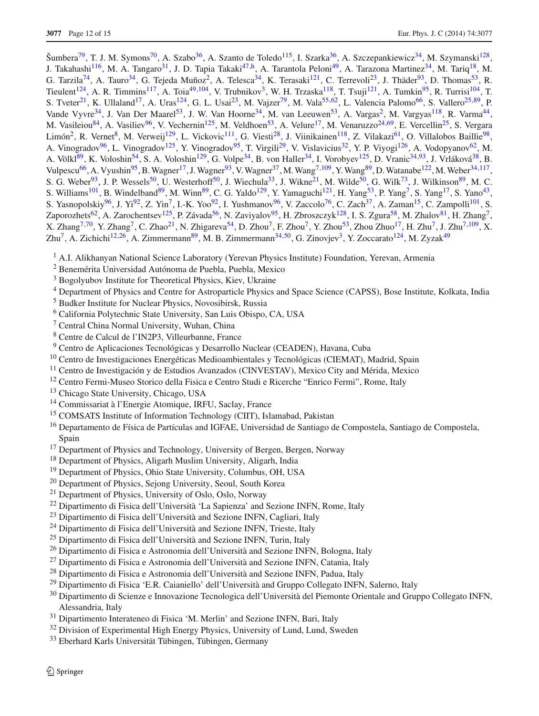$\text{Šumbera}^{79}$ , T. J. M. Symons<sup>70</sup>, A. Szabo<sup>36</sup>, A. Szanto de Toledo<sup>115</sup>, I. Szarka<sup>36</sup>, A. Szczepankiewicz<sup>34</sup>, M. Szymanski<sup>128</sup>, J. Takahashi<sup>116</sup>, M. A. Tangaro<sup>31</sup>, J. D. Tapia Takaki<sup>47,h</sup>, A. Tarantola Peloni<sup>49</sup>, A. Tarazona Martinez<sup>34</sup>, M. Tariq<sup>18</sup>, M. G. Tarzila<sup>74</sup>, A. Tauro<sup>34</sup>, G. Tejeda Muñoz<sup>2</sup>, A. Telesca<sup>34</sup>, K. Terasaki<sup>121</sup>, C. Terrevoli<sup>23</sup>, J. Thäder<sup>93</sup>, D. Thomas<sup>53</sup>, R. Tieulent<sup>124</sup>, A. R. Timmins<sup>117</sup>, A. Toia<sup>49,104</sup>, V. Trubnikov<sup>3</sup>, W. H. Trzaska<sup>118</sup>, T. Tsuji<sup>121</sup>, A. Tumkin<sup>95</sup>, R. Turrisi<sup>104</sup>, T. S. Tveter<sup>21</sup>, K. Ullaland<sup>17</sup>, A. Uras<sup>124</sup>, G. L. Usai<sup>23</sup>, M. Vajzer<sup>79</sup>, M. Vala<sup>55,62</sup>, L. Valencia Palomo<sup>66</sup>, S. Vallero<sup>25,89</sup>, P. Vande Vyvre<sup>34</sup>, J. Van Der Maarel<sup>53</sup>, J. W. Van Hoorne<sup>34</sup>, M. van Leeuwen<sup>53</sup>, A. Vargas<sup>2</sup>, M. Vargyas<sup>118</sup>, R. Varma<sup>44</sup>, M. Vasileiou<sup>84</sup>, A. Vasiliev<sup>96</sup>, V. Vechernin<sup>125</sup>, M. Veldhoen<sup>53</sup>, A. Velure<sup>17</sup>, M. Venaruzzo<sup>24,69</sup>, E. Vercellin<sup>25</sup>, S. Vergara Limón<sup>2</sup>, R. Vernet<sup>8</sup>, M. Verweij<sup>129</sup>, L. Vickovic<sup>111</sup>, G. Viesti<sup>28</sup>, J. Viinikainen<sup>118</sup>, Z. Vilakazi<sup>61</sup>, O. Villalobos Baillie<sup>98</sup>, A. Vinogradov<sup>96</sup>, L. Vinogradov<sup>125</sup>, Y. Vinogradov<sup>95</sup>, T. Virgili<sup>29</sup>, V. Vislavicius<sup>32</sup>, Y. P. Viyogi<sup>126</sup>, A. Vodopyanov<sup>62</sup>, M. A. Völkl<sup>89</sup>, K. Voloshin<sup>54</sup>, S. A. Voloshin<sup>129</sup>, G. Volpe<sup>34</sup>, B. von Haller<sup>34</sup>, I. Vorobyev<sup>125</sup>, D. Vranic<sup>34,93</sup>, J. Vrláková<sup>38</sup>, B. Vulpescu<sup>66</sup>, A. Vyushin<sup>95</sup>, B. Wagner<sup>17</sup>, J. Wagner<sup>93</sup>, V. Wagner<sup>37</sup>, M. Wang<sup>7,109</sup>, Y. Wang<sup>89</sup>, D. Watanabe<sup>122</sup>, M. Weber<sup>34,117</sup>, S. G. Weber<sup>93</sup>, J. P. Wessels<sup>50</sup>, U. Westerhoff<sup>50</sup>, J. Wiechula<sup>33</sup>, J. Wikne<sup>21</sup>, M. Wilde<sup>50</sup>, G. Wilk<sup>73</sup>, J. Wilkinson<sup>89</sup>, M. C. S. Williams<sup>101</sup>, B. Windelband<sup>89</sup>, M. Winn<sup>89</sup>, C. G. Yaldo<sup>129</sup>, Y. Yamaguchi<sup>121</sup>, H. Yang<sup>53</sup>, P. Yang<sup>7</sup>, S. Yang<sup>17</sup>, S. Yano<sup>43</sup>, S. Yasnopolskiy<sup>96</sup>, J. Yi<sup>92</sup>, Z. Yin<sup>7</sup>, I.-K. Yoo<sup>92</sup>, I. Yushmanov<sup>96</sup>, V. Zaccolo<sup>76</sup>, C. Zach<sup>37</sup>, A. Zaman<sup>15</sup>, C. Zampolli<sup>101</sup>, S. Zaporozhets<sup>62</sup>, A. Zarochentsev<sup>125</sup>, P. Závada<sup>56</sup>, N. Zaviyalov<sup>95</sup>, H. Zbroszczyk<sup>128</sup>, I. S. Zgura<sup>58</sup>, M. Zhalov<sup>81</sup>, H. Zhang<sup>7</sup>, X. Zhang<sup>7,70</sup>, Y. Zhang<sup>7</sup>, C. Zhao<sup>21</sup>, N. Zhigareva<sup>54</sup>, D. Zhou<sup>7</sup>, F. Zhou<sup>7</sup>, Y. Zhou<sup>53</sup>, Zhou Zhuo<sup>17</sup>, H. Zhu<sup>7</sup>, J. Zhu<sup>7,109</sup>, X.  $Zhu^7$ , A. Zichichi<sup>12,26</sup>, A. Zimmermann<sup>89</sup>, M. B. Zimmermann<sup>34,50</sup>, G. Zinovjev<sup>3</sup>, Y. Zoccarato<sup>124</sup>, M. Zyzak<sup>49</sup>

- <span id="page-11-22"></span><sup>1</sup> A.I. Alikhanyan National Science Laboratory (Yerevan Physics Institute) Foundation, Yerevan, Armenia
- <span id="page-11-5"></span><sup>2</sup> Benemérita Universidad Autónoma de Puebla, Puebla, Mexico
- <span id="page-11-23"></span><sup>3</sup> Bogolyubov Institute for Theoretical Physics, Kiev, Ukraine
- <span id="page-11-31"></span><sup>4</sup> Department of Physics and Centre for Astroparticle Physics and Space Science (CAPSS), Bose Institute, Kolkata, India
- <span id="page-11-29"></span><sup>5</sup> Budker Institute for Nuclear Physics, Novosibirsk, Russia
- <span id="page-11-15"></span><sup>6</sup> California Polytechnic State University, San Luis Obispo, CA, USA
- <span id="page-11-32"></span><sup>7</sup> Central China Normal University, Wuhan, China
- <span id="page-11-20"></span><span id="page-11-18"></span><span id="page-11-13"></span><sup>8</sup> Centre de Calcul de l'IN2P3, Villeurbanne, France
- <span id="page-11-4"></span><sup>9</sup> Centro de Aplicaciones Tecnológicas y Desarrollo Nuclear (CEADEN), Havana, Cuba
- <sup>10</sup> Centro de Investigaciones Energéticas Medioambientales y Tecnológicas (CIEMAT), Madrid, Spain
- <sup>11</sup> Centro de Investigación y de Estudios Avanzados (CINVESTAV), Mexico City and Mérida, Mexico
- <span id="page-11-26"></span><sup>12</sup> Centro Fermi-Museo Storico della Fisica e Centro Studi e Ricerche "Enrico Fermi", Rome, Italy
- <sup>13</sup> Chicago State University, Chicago, USA
- <span id="page-11-9"></span><span id="page-11-3"></span><sup>14</sup> Commissariat à l'Energie Atomique, IRFU, Saclay, France
- <span id="page-11-7"></span><sup>15</sup> COMSATS Institute of Information Technology (CIIT), Islamabad, Pakistan
- <sup>16</sup> Departamento de Física de Partículas and IGFAE, Universidad de Santiago de Compostela, Santiago de Compostela, Spain
- <span id="page-11-6"></span><sup>17</sup> Department of Physics and Technology, University of Bergen, Bergen, Norway
- <span id="page-11-25"></span><span id="page-11-2"></span><sup>18</sup> Department of Physics, Aligarh Muslim University, Aligarh, India
- <span id="page-11-28"></span><span id="page-11-8"></span><sup>19</sup> Department of Physics, Ohio State University, Columbus, OH, USA
- <sup>20</sup> Department of Physics, Sejong University, Seoul, South Korea
- <span id="page-11-30"></span><span id="page-11-17"></span><sup>21</sup> Department of Physics, University of Oslo, Oslo, Norway
- <sup>22</sup> Dipartimento di Fisica dell'Università 'La Sapienza' and Sezione INFN, Rome, Italy
- <span id="page-11-16"></span><sup>23</sup> Dipartimento di Fisica dell'Università and Sezione INFN, Cagliari, Italy
- <sup>24</sup> Dipartimento di Fisica dell'Università and Sezione INFN, Trieste, Italy
- <span id="page-11-12"></span><span id="page-11-1"></span><sup>25</sup> Dipartimento di Fisica dell'Università and Sezione INFN, Turin, Italy
- <sup>26</sup> Dipartimento di Fisica e Astronomia dell'Università and Sezione INFN, Bologna, Italy
- <span id="page-11-14"></span><span id="page-11-10"></span><sup>27</sup> Dipartimento di Fisica e Astronomia dell'Università and Sezione INFN, Catania, Italy
- <span id="page-11-24"></span><sup>28</sup> Dipartimento di Fisica e Astronomia dell'Università and Sezione INFN, Padua, Italy
- <sup>29</sup> Dipartimento di Fisica 'E.R. Caianiello' dell'Università and Gruppo Collegato INFN, Salerno, Italy
- <span id="page-11-21"></span><span id="page-11-11"></span><sup>30</sup> Dipartimento di Scienze e Innovazione Tecnologica dell'Università del Piemonte Orientale and Gruppo Collegato INFN, Alessandria, Italy
- <span id="page-11-19"></span><sup>31</sup> Dipartimento Interateneo di Fisica 'M. Merlin' and Sezione INFN, Bari, Italy
- <span id="page-11-27"></span><sup>32</sup> Division of Experimental High Energy Physics, University of Lund, Lund, Sweden
- <span id="page-11-0"></span><sup>33</sup> Eberhard Karls Universität Tübingen, Tübingen, Germany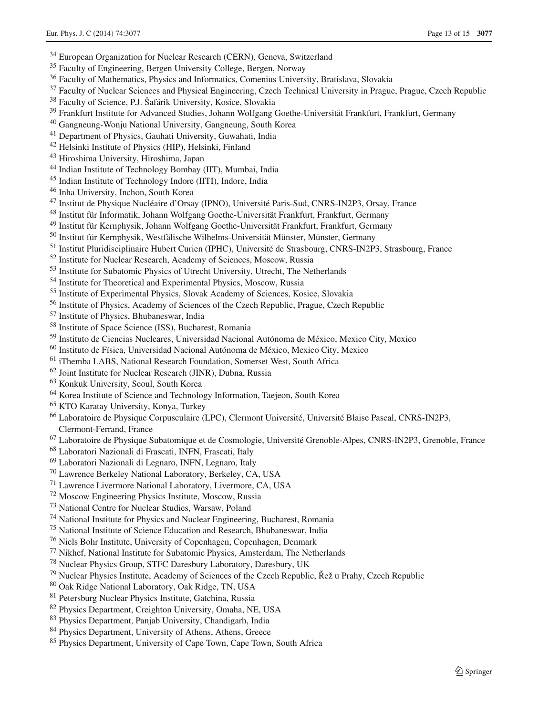- <span id="page-12-7"></span><sup>34</sup> European Organization for Nuclear Research (CERN), Geneva, Switzerland
- <span id="page-12-46"></span><sup>35</sup> Faculty of Engineering, Bergen University College, Bergen, Norway
- <span id="page-12-28"></span><span id="page-12-1"></span>Faculty of Mathematics, Physics and Informatics, Comenius University, Bratislava, Slovakia
- <sup>37</sup> Faculty of Nuclear Sciences and Physical Engineering, Czech Technical University in Prague, Prague, Czech Republic
- <span id="page-12-14"></span><span id="page-12-8"></span>Faculty of Science, P.J. Šafárik University, Kosice, Slovakia
- Frankfurt Institute for Advanced Studies, Johann Wolfgang Goethe-Universität Frankfurt, Frankfurt, Germany
- <span id="page-12-25"></span>Gangneung-Wonju National University, Gangneung, South Korea
- <span id="page-12-39"></span>Department of Physics, Gauhati University, Guwahati, India
- <span id="page-12-51"></span>Helsinki Institute of Physics (HIP), Helsinki, Finland
- <span id="page-12-47"></span><span id="page-12-4"></span>Hiroshima University, Hiroshima, Japan
- Indian Institute of Technology Bombay (IIT), Mumbai, India
- <span id="page-12-45"></span>Indian Institute of Technology Indore (IITI), Indore, India
- <span id="page-12-35"></span><span id="page-12-32"></span>Inha University, Inchon, South Korea
- Institut de Physique Nucléaire d'Orsay (IPNO), Université Paris-Sud, CNRS-IN2P3, Orsay, France
- <span id="page-12-11"></span>Institut für Informatik, Johann Wolfgang Goethe-Universität Frankfurt, Frankfurt, Germany
- <span id="page-12-10"></span>Institut für Kernphysik, Johann Wolfgang Goethe-Universität Frankfurt, Frankfurt, Germany
- <span id="page-12-40"></span><span id="page-12-20"></span>Institut für Kernphysik, Westfälische Wilhelms-Universität Münster, Münster, Germany
- Institut Pluridisciplinaire Hubert Curien (IPHC), Université de Strasbourg, CNRS-IN2P3, Strasbourg, France
- <span id="page-12-24"></span>Institute for Nuclear Research, Academy of Sciences, Moscow, Russia
- <span id="page-12-6"></span>Institute for Subatomic Physics of Utrecht University, Utrecht, The Netherlands
- <span id="page-12-43"></span><sup>54</sup> Institute for Theoretical and Experimental Physics, Moscow, Russia
- <span id="page-12-42"></span>Institute of Experimental Physics, Slovak Academy of Sciences, Kosice, Slovakia
- <span id="page-12-17"></span>Institute of Physics, Academy of Sciences of the Czech Republic, Prague, Czech Republic
- <span id="page-12-37"></span>Institute of Physics, Bhubaneswar, India
- Institute of Space Science (ISS), Bucharest, Romania
- <span id="page-12-36"></span><span id="page-12-21"></span>Instituto de Ciencias Nucleares, Universidad Nacional Autónoma de México, Mexico City, Mexico
- <span id="page-12-30"></span>Instituto de Física, Universidad Nacional Autónoma de México, Mexico City, Mexico
- <span id="page-12-18"></span>iThemba LABS, National Research Foundation, Somerset West, South Africa
- Joint Institute for Nuclear Research (JINR), Dubna, Russia
- <span id="page-12-49"></span><span id="page-12-5"></span>Konkuk University, Seoul, South Korea
- Korea Institute of Science and Technology Information, Taejeon, South Korea
- <span id="page-12-44"></span><span id="page-12-15"></span>KTO Karatay University, Konya, Turkey
- Laboratoire de Physique Corpusculaire (LPC), Clermont Université, Université Blaise Pascal, CNRS-IN2P3, Clermont-Ferrand, France
- <span id="page-12-34"></span>Laboratoire de Physique Subatomique et de Cosmologie, Université Grenoble-Alpes, CNRS-IN2P3, Grenoble, France
- <span id="page-12-50"></span><span id="page-12-26"></span>Laboratori Nazionali di Frascati, INFN, Frascati, Italy
- <span id="page-12-27"></span>Laboratori Nazionali di Legnaro, INFN, Legnaro, Italy
- <span id="page-12-0"></span>Lawrence Berkeley National Laboratory, Berkeley, CA, USA
- <span id="page-12-22"></span>Lawrence Livermore National Laboratory, Livermore, CA, USA
- <span id="page-12-38"></span>Moscow Engineering Physics Institute, Moscow, Russia
- <span id="page-12-9"></span>National Centre for Nuclear Studies, Warsaw, Poland
- National Institute for Physics and Nuclear Engineering, Bucharest, Romania
- <span id="page-12-48"></span><span id="page-12-19"></span>National Institute of Science Education and Research, Bhubaneswar, India
- Niels Bohr Institute, University of Copenhagen, Copenhagen, Denmark
- <span id="page-12-31"></span><span id="page-12-29"></span><span id="page-12-2"></span>Nikhef, National Institute for Subatomic Physics, Amsterdam, The Netherlands
- Nuclear Physics Group, STFC Daresbury Laboratory, Daresbury, UK
- <span id="page-12-12"></span>79 Nuclear Physics Institute, Academy of Sciences of the Czech Republic, Řež u Prahy, Czech Republic
- <span id="page-12-23"></span>Oak Ridge National Laboratory, Oak Ridge, TN, USA
- Petersburg Nuclear Physics Institute, Gatchina, Russia
- <span id="page-12-33"></span>Physics Department, Creighton University, Omaha, NE, USA
- <span id="page-12-41"></span><span id="page-12-13"></span><span id="page-12-3"></span>Physics Department, Panjab University, Chandigarh, India
- Physics Department, University of Athens, Athens, Greece
- <span id="page-12-16"></span>Physics Department, University of Cape Town, Cape Town, South Africa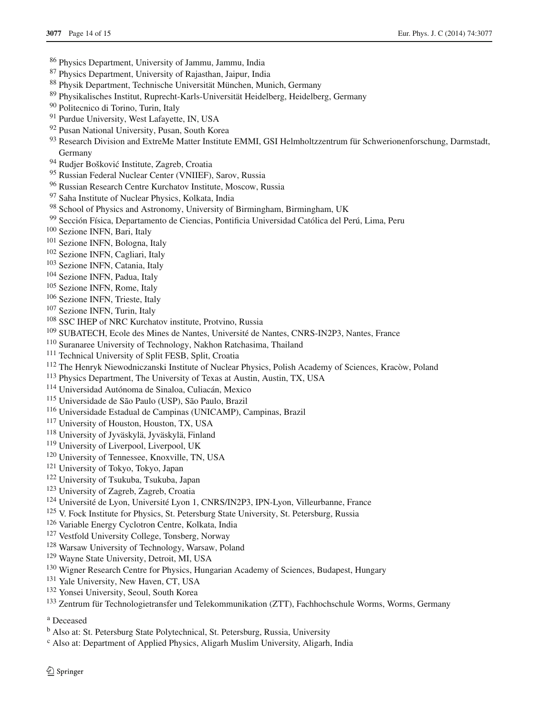- <span id="page-13-49"></span>Physics Department, University of Jammu, Jammu, India
- <span id="page-13-20"></span>Physics Department, University of Rajasthan, Jaipur, India
- <span id="page-13-10"></span>Physik Department, Technische Universität München, Munich, Germany
- <span id="page-13-0"></span>Physikalisches Institut, Ruprecht-Karls-Universität Heidelberg, Heidelberg, Germany
- <span id="page-13-24"></span><span id="page-13-23"></span>Politecnico di Torino, Turin, Italy
- <sup>91</sup> Purdue University, West Lafayette, IN, USA
- <span id="page-13-9"></span>Pusan National University, Pusan, South Korea
- 93 Research Division and ExtreMe Matter Institute EMMI, GSI Helmholtzzentrum für Schwerionenforschung, Darmstadt, Germany
- <span id="page-13-25"></span><span id="page-13-11"></span><sup>94</sup> Rudjer Bošković Institute, Zagreb, Croatia
- <span id="page-13-28"></span><span id="page-13-4"></span>Russian Federal Nuclear Center (VNIIEF), Sarov, Russia
- Russian Research Centre Kurchatov Institute, Moscow, Russia
- <span id="page-13-26"></span><span id="page-13-5"></span>Saha Institute of Nuclear Physics, Kolkata, India
- School of Physics and Astronomy, University of Birmingham, Birmingham, UK
- <span id="page-13-33"></span><span id="page-13-6"></span>Sección Física, Departamento de Ciencias, Pontificia Universidad Católica del Perú, Lima, Peru
- Sezione INFN, Bari, Italy
- <span id="page-13-31"></span>Sezione INFN, Bologna, Italy
- <span id="page-13-14"></span>Sezione INFN, Cagliari, Italy
- <span id="page-13-12"></span>Sezione INFN, Catania, Italy
- <span id="page-13-34"></span>Sezione INFN, Padua, Italy
- <span id="page-13-36"></span>Sezione INFN, Rome, Italy
- <span id="page-13-1"></span>Sezione INFN, Trieste, Italy
- <span id="page-13-22"></span><span id="page-13-13"></span>Sezione INFN, Turin, Italy
- SSC IHEP of NRC Kurchatov institute, Protvino, Russia
- <span id="page-13-44"></span>SUBATECH, Ecole des Mines de Nantes, Université de Nantes, CNRS-IN2P3, Nantes, France
- <span id="page-13-37"></span>Suranaree University of Technology, Nakhon Ratchasima, Thailand
- <span id="page-13-16"></span>Technical University of Split FESB, Split, Croatia
- The Henryk Niewodniczanski Institute of Nuclear Physics, Polish Academy of Sciences, Kracòw, Poland
- <span id="page-13-46"></span><span id="page-13-43"></span>Physics Department, The University of Texas at Austin, Austin, TX, USA
- <span id="page-13-8"></span>Universidad Autónoma de Sinaloa, Culiacán, Mexico
- <span id="page-13-30"></span>Universidade de São Paulo (USP), São Paulo, Brazil
- <span id="page-13-17"></span>Universidade Estadual de Campinas (UNICAMP), Campinas, Brazil
- <sup>117</sup> University of Houston, Houston, TX, USA
- <span id="page-13-35"></span><span id="page-13-27"></span>University of Jyväskylä, Jyväskylä, Finland
- <span id="page-13-47"></span>University of Liverpool, Liverpool, UK
- <span id="page-13-39"></span>University of Tennessee, Knoxville, TN, USA
- <span id="page-13-21"></span><sup>121</sup> University of Tokyo, Tokyo, Japan
- <span id="page-13-48"></span>University of Tsukuba, Tsukuba, Japan
- <span id="page-13-29"></span><span id="page-13-7"></span>University of Zagreb, Zagreb, Croatia
- Université de Lyon, Université Lyon 1, CNRS/IN2P3, IPN-Lyon, Villeurbanne, France
- <span id="page-13-2"></span><sup>125</sup> V. Fock Institute for Physics, St. Petersburg State University, St. Petersburg, Russia
- <span id="page-13-45"></span>Variable Energy Cyclotron Centre, Kolkata, India
- <span id="page-13-38"></span>Vestfold University College, Tonsberg, Norway
- <span id="page-13-18"></span>Warsaw University of Technology, Warsaw, Poland
- <span id="page-13-15"></span>Wayne State University, Detroit, MI, USA
- <span id="page-13-3"></span>Wigner Research Centre for Physics, Hungarian Academy of Sciences, Budapest, Hungary
- <span id="page-13-40"></span><sup>131</sup> Yale University, New Haven, CT, USA
- <span id="page-13-41"></span>Yonsei University, Seoul, South Korea
- Zentrum für Technologietransfer und Telekommunikation (ZTT), Fachhochschule Worms, Worms, Germany

<span id="page-13-32"></span><sup>a</sup> Deceased

- <span id="page-13-19"></span><sup>b</sup> Also at: St. Petersburg State Polytechnical, St. Petersburg, Russia, University
- <span id="page-13-42"></span><sup>c</sup> Also at: Department of Applied Physics, Aligarh Muslim University, Aligarh, India